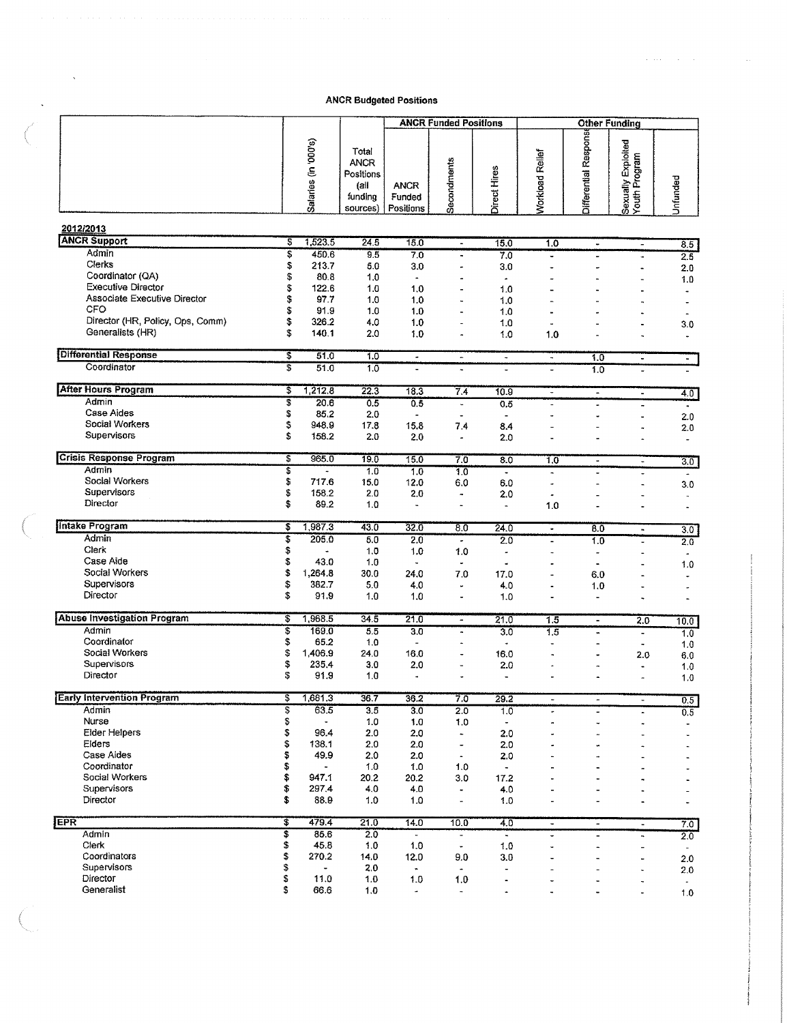|                                                           |                           |                                   |                                                                  | <b>ANCR Funded Positions</b>       |                              |                                    | Other Funding                    |                                  |                                     |                       |  |
|-----------------------------------------------------------|---------------------------|-----------------------------------|------------------------------------------------------------------|------------------------------------|------------------------------|------------------------------------|----------------------------------|----------------------------------|-------------------------------------|-----------------------|--|
|                                                           |                           | Salaries (in '000's)              | Total<br><b>ANCR</b><br>Positions<br>(all<br>funding<br>sources) | <b>ANCR</b><br>Funded<br>Positions | Secondments                  | Direct Hires                       | <b>Norkload Relief</b>           | Differential Respons             | Sexually Exploited<br>Youth Program | Unfunded              |  |
| 2012/2013                                                 |                           |                                   |                                                                  |                                    |                              |                                    |                                  |                                  |                                     |                       |  |
| <b>ANCR Support</b>                                       | इ                         | 1,523.5                           | 24.5                                                             | 15.0                               | $\overline{\phantom{a}}$     | 15.0                               | 1.0                              | $\blacksquare$                   | $\overline{\phantom{a}}$            | 8.5                   |  |
| Admin                                                     | \$                        | 450.6                             | 9.5                                                              | 7.0                                | $\ddot{\phantom{0}}$         | 7.0                                | $\ddot{\phantom{0}}$             |                                  | ٠                                   | 2.5                   |  |
| Clerks                                                    | \$                        | 213.7                             | 5.0                                                              | 3.0                                |                              | 3.0                                | ÷,                               |                                  | Ĭ.                                  | 2.0                   |  |
| Coordinator (QA)                                          | S                         | 80.8                              | 1.0                                                              | $\blacksquare$                     |                              | $\hat{\phantom{a}}$                |                                  |                                  |                                     | 1.0                   |  |
| <b>Executive Director</b><br>Associate Executive Director | \$<br>S                   | 122.6                             | 1.0                                                              | 1,0                                |                              | 1.0                                |                                  |                                  |                                     |                       |  |
| CFO                                                       | \$                        | 97.7<br>91.9                      | 1.0<br>1.0                                                       | 1.0<br>1.0                         | i.                           | 1.0<br>1.0                         |                                  |                                  |                                     |                       |  |
| Director (HR, Policy, Ops, Comm)                          | \$                        | 326.2                             | 4.0                                                              | 1.0                                | $\ddot{\phantom{1}}$         | 1.0                                | ä,                               |                                  |                                     | $\blacksquare$        |  |
| Generalists (HR)                                          | \$                        | 140.1                             | 2.0                                                              | 1.0                                | $\ddot{\phantom{1}}$         | 1.0                                | 1.0                              |                                  | ä,                                  | 3.0<br>$\blacksquare$ |  |
|                                                           |                           |                                   |                                                                  |                                    |                              |                                    |                                  |                                  |                                     |                       |  |
| <b>Differential Response</b>                              | \$                        | 51.0                              | 1.0                                                              | $\tilde{\phantom{a}}$              | $\blacksquare$               | $\blacksquare$                     | $\ddot{\phantom{a}}$             | 1.0                              | $\blacksquare$                      | $\blacksquare$        |  |
| Coordinator                                               | 3                         | 51.0                              | 1.0                                                              | $\blacksquare$                     | $\ddot{\phantom{a}}$         | L,                                 | $\overline{a}$                   | 1.0                              | $\overline{\phantom{a}}$            |                       |  |
| <b>After Hours Program</b>                                | \$                        | 1,212.8                           | 22.3                                                             | 18.3                               | 7.4                          | 10.9                               | $\tilde{\phantom{a}}$            | $\tilde{\phantom{a}}$            |                                     |                       |  |
| Admin                                                     | \$                        | 20.6                              | 0.5                                                              | 0.5                                | $\ddot{\phantom{a}}$         | 0.5                                |                                  |                                  | $\blacksquare$                      | $4.0^{\circ}$         |  |
| Case Aides                                                | \$                        | 85.2                              | 2.0                                                              | $\overline{\phantom{m}}$           | $\blacksquare$               | $\blacksquare$                     | L.                               |                                  | $\blacksquare$                      | 2.0                   |  |
| Social Workers                                            | \$                        | 948.9                             | 17.8                                                             | 15.8                               | 7.4                          | 8.4                                |                                  |                                  |                                     | 2.0                   |  |
| Supervisors                                               | \$                        | 158.2                             | 2.0                                                              | 2.0                                | $\tilde{\phantom{a}}$        | 2.0                                |                                  |                                  |                                     | ä,                    |  |
| <b>Crisis Response Program</b>                            | Ţ                         |                                   |                                                                  |                                    |                              |                                    |                                  |                                  |                                     |                       |  |
| Admin                                                     | \$                        | 965.0<br>$\overline{\phantom{a}}$ | 19.0<br>1,0                                                      | 15.0<br>1.0                        | 7.0<br>1.0                   | $\overline{8.0}$<br>$\blacksquare$ | 1.0<br>$\overline{\phantom{a}}$  | $\blacksquare$<br>$\overline{a}$ | w                                   | $\overline{3.0}$      |  |
| Social Workers                                            | \$                        | 717.6                             | 15.0                                                             | 12.0                               | 6.0                          | 6.0                                | ä,                               |                                  | $\overline{a}$                      | 3.0                   |  |
| Supervisors                                               | \$                        | 158.2                             | 2.0                                                              | 2.0                                | $\overline{\phantom{a}}$     | 2.0                                | ٠                                |                                  | ٠                                   | $\ddot{\phantom{0}}$  |  |
| Director                                                  | \$                        | 89.2                              | 1.0                                                              | $\ddot{\phantom{1}}$               | $\overline{a}$               | $\overline{\phantom{a}}$           | 1.0                              |                                  |                                     |                       |  |
| <b>Intake Program</b>                                     |                           |                                   |                                                                  |                                    |                              |                                    |                                  |                                  |                                     |                       |  |
| Admin                                                     | \$<br>\$                  | 1,987.3<br>205.0                  | 43.0<br>5.0                                                      | 32.0<br>2,0                        | 8.0                          | 24.0<br>2.0                        | $\bullet$                        | 8.0                              | $\blacksquare$                      | 3.0                   |  |
| Clerk                                                     | \$                        |                                   | 1.0                                                              | 1,0                                | $\tilde{\phantom{a}}$<br>1.0 | ٠                                  | $\blacksquare$<br>$\overline{a}$ | 1.0                              |                                     | 2.0                   |  |
| Case Aide                                                 | \$                        | 43.0                              | 1.0                                                              | $\mathbf{v}$                       | $\ddot{\phantom{0}}$         | ٠                                  |                                  | $\ddot{\phantom{a}}$             |                                     |                       |  |
| Social Workers                                            | \$                        | 1,264.8                           | 30.0                                                             | 24.0                               | 7.0                          | 17.0                               | $\overline{a}$                   | 6.0                              |                                     | 1.0                   |  |
| Supervisors                                               | \$                        | 382.7                             | 5.0                                                              | 4.0                                | ÷.                           | 4.0                                | $\cdot$                          | 1.0                              |                                     |                       |  |
| Director                                                  | \$                        | 91.9                              | 10                                                               | 1.0                                | $\ddot{\phantom{0}}$         | 1.0                                |                                  |                                  |                                     |                       |  |
|                                                           |                           |                                   |                                                                  |                                    |                              |                                    |                                  |                                  |                                     |                       |  |
| <b>Abuse Investigation Program</b>                        | \$                        | 1,968.5                           | 34.5                                                             | 21.0                               | $\overline{\phantom{a}}$     | 21.0                               | 1.5                              | $\overline{\phantom{a}}$         | 2.0                                 | 10.0                  |  |
| Admin                                                     | $\overline{\mathfrak{s}}$ | 169.0                             | 5.5                                                              | 3.0                                | $\blacksquare$               | 3.0                                | 1.5                              | 'n                               | $\overline{\phantom{a}}$            | 1.0                   |  |
| Coordinator                                               | \$                        | 65.2                              | 1.0                                                              | $\frac{1}{2}$                      |                              | ä,                                 | $\ddot{\phantom{1}}$             |                                  | $\overline{\phantom{a}}$            | 1.0                   |  |
| Social Workers<br>Supervisors                             | \$                        | 1,406.9                           | 24.0                                                             | 16.0                               |                              | 16.0                               | ×                                |                                  | 2.0                                 | 6.0                   |  |
| Director                                                  | \$<br>\$                  | 235.4<br>91.9                     | 3.0<br>1.0                                                       | 2.0<br>ä,                          |                              | 2.0<br>$\blacksquare$              | ٠                                |                                  | $\blacksquare$                      | 1.0                   |  |
|                                                           |                           |                                   |                                                                  |                                    |                              |                                    |                                  |                                  | $\overline{\phantom{a}}$            | 1.0                   |  |
| <b>Early Intervention Program</b>                         | S                         | 1,681.3                           | 36.7                                                             | 36.2                               | 7.0                          | 29.2                               | $\overline{\phantom{a}}$         | $\overline{\phantom{a}}$         | $\blacksquare$                      | 0.5                   |  |
| Admin                                                     | $\overline{\mathbf{s}}$   | 63.5                              | 3.5                                                              | 3.0                                | 2.0                          | 7.0                                | ۰                                | $\overline{\phantom{0}}$         |                                     | 0.5                   |  |
| Nurse                                                     | \$                        |                                   | 1.0                                                              | 1.0                                | 1.0                          | $\blacksquare$                     | ۰                                |                                  |                                     |                       |  |
| <b>Elder Helpers</b>                                      | \$                        | 96.4                              | 2.0                                                              | 2.0                                | $\overline{\phantom{a}}$     | 2.0                                | ٠                                |                                  |                                     |                       |  |
| Elders                                                    | \$                        | 138.1                             | 2.0                                                              | 2.0                                | $\overline{\phantom{a}}$     | 2.0                                | à,                               | ü                                |                                     |                       |  |
| Case Aides                                                | \$                        | 49.9                              | 2.0                                                              | 2.0                                | $\tilde{\phantom{a}}$        | 2.0                                | à.                               |                                  |                                     |                       |  |
| Coordinator<br>Social Workers                             | \$<br>\$                  | 947.1                             | 1.0<br>20.2                                                      | 1.0<br>20.2                        | 1.0<br>3.0                   | $\tilde{\phantom{a}}$<br>17.2      |                                  |                                  |                                     |                       |  |
| Supervisors                                               | \$                        | 297.4                             | 4.0                                                              | 4.0                                | $\blacksquare$               | 4.0                                | ٠<br>$\blacksquare$              |                                  |                                     |                       |  |
| Director                                                  | \$                        | 88.9                              | 1.0                                                              | 1.0                                | $\overline{\phantom{a}}$     | 1.0                                | $\overline{\phantom{a}}$         |                                  |                                     |                       |  |
|                                                           |                           |                                   |                                                                  |                                    |                              |                                    |                                  |                                  |                                     |                       |  |
| <b>EPR</b><br>Admin                                       | Ŧ.<br>\$                  | 479.4<br>85.6                     | 21.0<br>2.0                                                      | 14.0<br>$\omega$                   | 10.0<br>$\blacksquare$       | 4.0                                | $\blacksquare$                   | $\tilde{\phantom{a}}$            | $\overline{\phantom{a}}$            | 7.0                   |  |
| Clerk                                                     | \$                        | 45.8                              | 1.0                                                              | 1.0                                | $\blacksquare$               | $\tilde{\phantom{a}}$<br>1.0       | $\overline{\phantom{a}}$<br>ä,   | $\blacksquare$                   | ٠                                   | 2.0                   |  |
| Coordinators                                              | \$                        | 270.2                             | 14.0                                                             | 12.0                               | 9.0                          | 3.0                                | $\overline{a}$                   |                                  | -<br>$\ddot{\phantom{0}}$           | $\blacksquare$        |  |
| Supervisors                                               | \$                        |                                   | 2.0                                                              | $\blacksquare$                     |                              |                                    | ٠                                | $\overline{a}$                   | ٠                                   | 2.0<br>2.0            |  |
| Director                                                  | \$                        | 11.0                              | 1.0                                                              | 1.0                                | 1.0                          | ٠                                  |                                  |                                  | ٠                                   | $\bullet$             |  |
| Generalist                                                | \$                        | 66.6                              | 1.0                                                              | $\overline{\phantom{a}}$           | $\overline{\phantom{a}}$     | ۰                                  | $\ddot{\phantom{0}}$             | $\overline{\phantom{a}}$         |                                     | 1.0                   |  |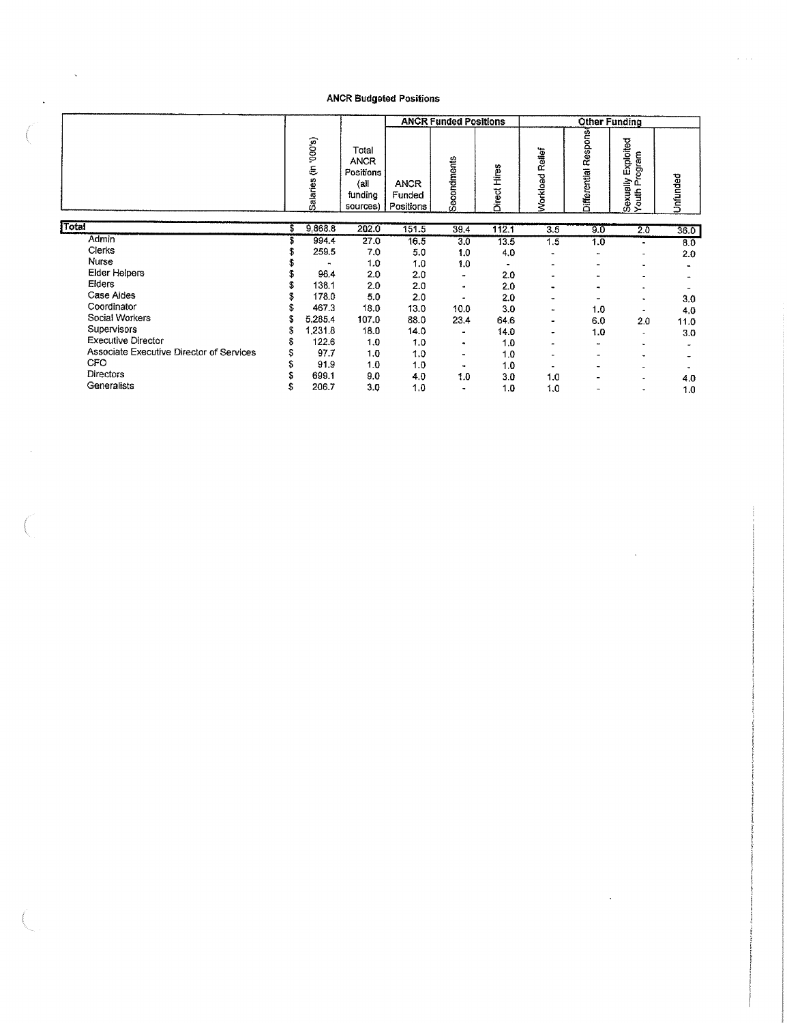$\bar{\beta}$ 

 $\ddot{\phantom{0}}$ 

 $\bar{\beta}$ 

|                                          |    |                        |                                                                 |                                    | <b>ANCR Funded Positions</b> |              | <b>Other Funding</b> |                          |                                     |          |  |
|------------------------------------------|----|------------------------|-----------------------------------------------------------------|------------------------------------|------------------------------|--------------|----------------------|--------------------------|-------------------------------------|----------|--|
|                                          |    | (8,000, 4)<br>Salaries | Total<br><b>ANCR</b><br>Positions<br>(a)<br>funding<br>sources) | <b>ANCR</b><br>Funded<br>Positions | Secondments                  | Direct Hires | Workload Rellef      | Respons<br>Differential  | Sexually Exploited<br>Youth Program | Unfunded |  |
| Total                                    | £  | 9,868.8                | 202.0                                                           | 151.5                              | 39.4                         | 112.1        | $\overline{3.5}$     | 9.0                      | 2.0                                 | 36.0     |  |
| Admin                                    |    | 994.4                  | 27.0                                                            | 16.5                               | $3\overline{0}$              | 13.5         | 1,5                  | 1.0                      | ٠                                   | 8.0      |  |
| Clerks                                   |    | 259.5                  | 7.0                                                             | 5.0                                | 1.0                          | 4.0          |                      | $\ddot{\phantom{0}}$     | ٠                                   | 2.0      |  |
| Nurse                                    |    | ٠                      | 1.0                                                             | 1.0                                | 1.0                          | ۰            |                      | -                        | ٠                                   |          |  |
| Elder Helpers                            |    | 96.4                   | 2.0                                                             | 2.0                                | ۰                            | 2.0          |                      | -                        |                                     |          |  |
| Eiders                                   |    | 138.1                  | 2.0                                                             | 2.0                                | ٠                            | 2.0          |                      | $\blacksquare$           |                                     |          |  |
| Case Aides                               |    | 178.0                  | 5.0                                                             | 2.0                                |                              | 2.0          |                      |                          | $\blacksquare$                      | 3.0      |  |
| Coordinator                              |    | 467.3                  | 18.0                                                            | 13.0                               | 10.0                         | 3.0          | ÷.                   | 1.0                      | $\blacksquare$                      | 4,0      |  |
| Social Workers                           |    | 5.285.4                | 107.0                                                           | 88.0                               | 23.4                         | 64.6         | $\bullet$            | 6.0                      | 2.0                                 | 11.0     |  |
| Supervisors                              | S  | 1,231.8                | 18.0                                                            | 14.0                               |                              | 14.0         | ۰                    | 1.0                      | $\blacksquare$                      | 3.0      |  |
| <b>Executive Director</b>                |    | 122.6                  | 1.0                                                             | 1.0                                | $\bullet$                    | 1.0          |                      | $\blacksquare$           | ۰                                   |          |  |
| Associate Executive Director of Services |    | 97.7                   | 1.0                                                             | 1.0                                | $\bullet$                    | 1.0          |                      | $\overline{\phantom{a}}$ | $\ddot{\phantom{0}}$                |          |  |
| <b>CFO</b>                               |    | 91.9                   | 1.0                                                             | 1.0                                | ٠                            | 1.0          | ۰                    | $\overline{\phantom{0}}$ | ۰                                   |          |  |
| <b>Directors</b>                         |    | 699.1                  | 9.0                                                             | 4.0                                | 1.0                          | 3.0          | 1.0                  | -                        | ۰                                   | 4.0      |  |
| Generalists                              | \$ | 206.7                  | 3.0                                                             | 1.0                                |                              | 1.0          | 1.0                  | ٠                        | ٠                                   | 1,0      |  |

 $\mathcal{L}$ 

 $\sim$   $\sim$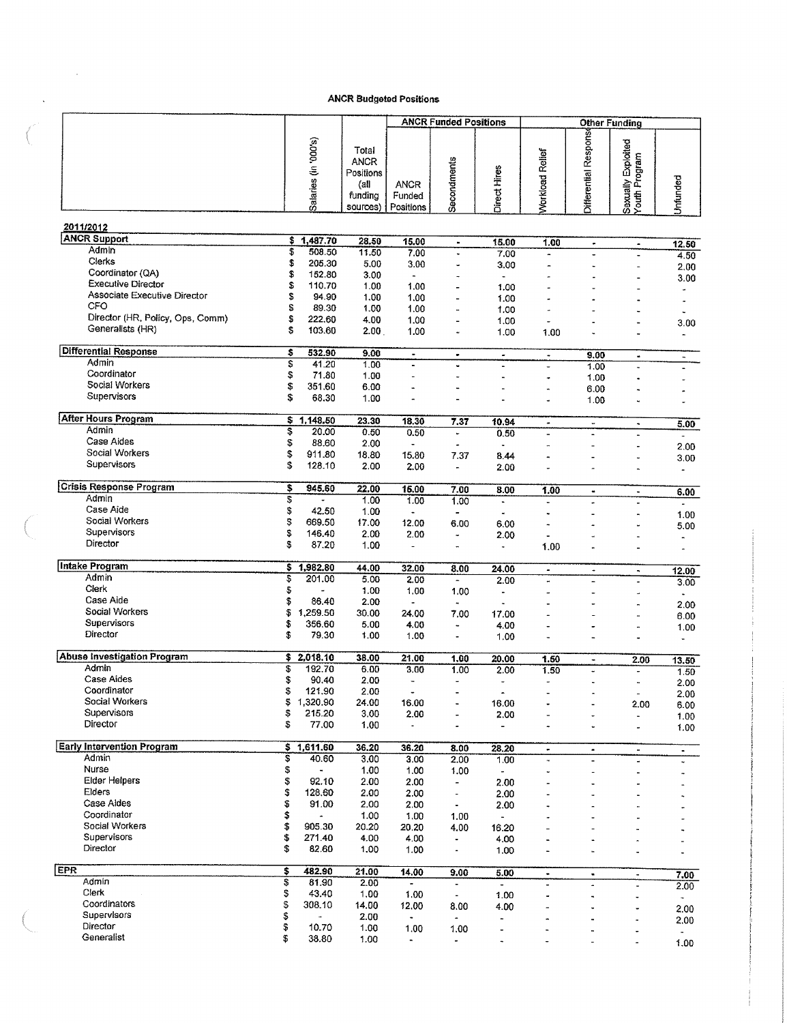$\mathcal{L}^{\text{max}}_{\text{max}}$ 

 $\mathcal{A}(\mathcal{A})$  and  $\mathcal{A}(\mathcal{A})$ 

|                                                      |          |                      |                                                                  |                                    | <b>ANCR Funded Positions</b>                         |                                            |                          | <b>Other Funding</b>                         |                                     |                                  |
|------------------------------------------------------|----------|----------------------|------------------------------------------------------------------|------------------------------------|------------------------------------------------------|--------------------------------------------|--------------------------|----------------------------------------------|-------------------------------------|----------------------------------|
|                                                      |          | Salaries (in '000's) | Total<br><b>ANCR</b><br>Positions<br>{all<br>funding<br>sources) | <b>ANCR</b><br>Funded<br>Positions | Secondments                                          | Direct Hires                               | Workload Relief          | <b>Differential Response</b>                 | Sexually Exploited<br>Youth Program | Unfunded                         |
| 2011/2012                                            |          |                      |                                                                  |                                    |                                                      |                                            |                          |                                              |                                     |                                  |
| <b>ANCR Support</b><br>Admin                         | \$       | 1,487.70             | 28.50                                                            | 15.00                              | $\blacksquare$                                       | 15.00                                      | 1.00                     | $\bullet$                                    | $\hat{\phantom{a}}$                 | 12.50                            |
| Clerks                                               | \$<br>\$ | 508.50<br>205.30     | 11.50<br>5.00                                                    | 7.00<br>3.00                       | $\blacksquare$                                       | 7.00                                       |                          | $\overline{a}$                               | $\overline{a}$                      | 4.50                             |
| Coordinator (QA)                                     | \$       | 152.80               | 3.00                                                             | $\blacksquare$                     | ä,                                                   | 3.00<br>$\overline{a}$                     | -                        |                                              |                                     | 2.00                             |
| Executive Director                                   | \$       | 110.70               | 1.00                                                             | 1.00                               |                                                      | 1.00                                       |                          |                                              |                                     | 3.00                             |
| Associate Executive Director                         | S        | 94.90                | 1.00                                                             | 1.00                               |                                                      | 1.00                                       |                          |                                              |                                     |                                  |
| CFO                                                  | S        | 89.30                | 1.00                                                             | 1.00                               | ä,                                                   | 1.00                                       | ä,                       |                                              |                                     |                                  |
| Director (HR, Policy, Ops, Comm)<br>Generalists (HR) | \$<br>Ŝ  | 222.60               | 4.00                                                             | 1.00                               |                                                      | 1.00                                       | u,                       |                                              |                                     | 3.00                             |
|                                                      |          | 103.60               | 2.00 <sub>1</sub>                                                | 1.00                               | ü                                                    | 1.00                                       | 1.00                     |                                              |                                     | $\overline{\phantom{a}}$         |
| <b>Differential Response</b>                         | \$       | 532.90               | 9.00                                                             | $\bullet$                          | ٠                                                    | $\bullet$                                  | $\tilde{\phantom{a}}$    | 9.00                                         | $\blacksquare$                      | $\frac{1}{2}$                    |
| Admin                                                | \$       | 41.20                | 1.00                                                             |                                    | ä,                                                   |                                            |                          | 1.00                                         |                                     |                                  |
| Coordinator<br>Social Workers                        | \$       | 71.80                | 1.00                                                             |                                    | L,                                                   |                                            |                          | 1.00                                         |                                     |                                  |
| Supervisors                                          | \$<br>S  | 351.60<br>68.30      | 6.00<br>1.00                                                     |                                    |                                                      |                                            |                          | 6.00                                         |                                     |                                  |
|                                                      |          |                      |                                                                  |                                    |                                                      |                                            |                          | 1.00                                         |                                     |                                  |
| <b>After Hours Program</b>                           | \$.      | 1,148.50             | 23.30                                                            | 18.30                              | 7.37                                                 | 10.94                                      | $\bullet$                | $\overline{\phantom{a}}$                     | ۰                                   | 5.00                             |
| Admin                                                | \$       | 20.00                | 0.50                                                             | 0.50                               | u                                                    | 0.50                                       |                          |                                              |                                     | ÷,                               |
| Case Aides<br>Social Workers                         | \$       | 88.60                | 2.00                                                             | $\overline{\phantom{a}}$           | ٠                                                    | $\ddot{\phantom{0}}$                       |                          |                                              | $\blacksquare$                      | 2.00                             |
| Supervisors                                          | \$<br>\$ | 911.80<br>128.10     | 18.80<br>2.00                                                    | 15.80                              | 7.37                                                 | 8.44                                       |                          |                                              |                                     | 3.00                             |
|                                                      |          |                      |                                                                  | 2.00                               | $\blacksquare$                                       | 2.00                                       |                          |                                              |                                     | $\overline{a}$                   |
| <b>Crisis Response Program</b>                       | \$       | 945.60               | 22.00                                                            | 15.00                              | 7.00                                                 | 8.00                                       | 1.00                     | $\blacksquare$                               | $\tilde{\phantom{a}}$               | 6.00                             |
| Admin                                                | \$       |                      | 1.00                                                             | 1.00                               | 1.00                                                 | u.                                         | $\blacksquare$           |                                              |                                     |                                  |
| Case Aide                                            | \$       | 42.50                | 1.00                                                             | $\blacksquare$                     | $\overline{a}$                                       |                                            |                          |                                              |                                     | 1.00                             |
| Social Workers<br>Supervisors                        | Ş<br>\$  | 669.50<br>146.40     | 17.00<br>2.00                                                    | 12.00                              | 6.00                                                 | 6.00                                       |                          |                                              |                                     | 5.00                             |
| Director                                             | \$       | 87.20                | 1.00                                                             | 2.00<br>$\blacksquare$             | ÷,<br>                                               | 2.00<br>$\ddot{\phantom{0}}$               | 1.00                     |                                              |                                     |                                  |
|                                                      |          |                      |                                                                  |                                    |                                                      |                                            |                          |                                              |                                     | $\overline{a}$                   |
| Intake Program                                       | \$       | 1,982.80             | 44.00                                                            | 32.00                              | 8.00                                                 | 24.00                                      | $\tilde{\phantom{a}}$    | ٠                                            | $\blacksquare$                      | 12.00                            |
| Admin<br>Clerk                                       | \$<br>\$ | 201.00<br>L.         | 5.00<br>1.00                                                     | 2.00                               | $\tilde{\phantom{a}}$                                | 2.00                                       | $\ddot{ }$               |                                              |                                     | 3.00                             |
| Case Aide                                            | \$       | 86.40                | 2.00                                                             | 1.00<br>$\blacksquare$             | 1.00                                                 |                                            |                          |                                              | $\rightarrow$                       |                                  |
| Social Workers                                       | \$       | 1,259.50             | 30.00                                                            | 24.00                              | 7.00                                                 | 17.00                                      |                          |                                              |                                     | 2.00<br>6.00                     |
| Supervisors                                          | \$       | 356.60               | 5.00                                                             | 4.00                               | ÷,                                                   | 4.00                                       |                          |                                              |                                     | 1.00                             |
| Director                                             | \$       | 79.30                | 1.00                                                             | 1.00                               | ۰                                                    | 1.00                                       |                          |                                              |                                     | $\overline{a}$                   |
| Abuse Investigation Program                          | \$       | 2,018.10             | 38.00                                                            | 21.00                              | 1.00                                                 | 20.00                                      | 1.50                     |                                              |                                     |                                  |
| Admin                                                | \$       | 192.70               | 6.00                                                             | 3.00                               | 1.00                                                 | 2.00                                       | 1.50                     | $\blacksquare$<br>$\overline{\phantom{a}}$   | 2.00<br>÷.                          | 13.50<br>1.50                    |
| Case Aides                                           | \$       | 90.40                | 2.00                                                             | $\overline{\phantom{a}}$           | $\ddot{\phantom{0}}$                                 | $\overline{a}$                             | $\ddot{\phantom{1}}$     | $\ddot{\phantom{1}}$                         | ٠                                   | 2.00                             |
| Coordinator                                          | \$       | 121.90               | 2.00                                                             | $\tilde{\phantom{a}}$              |                                                      | $\hat{\phantom{a}}$                        |                          |                                              | $\overline{\phantom{a}}$            | 2.00                             |
| Social Workers<br>Supervisors                        | \$       | 1,320.90             | 24.00                                                            | 16.00                              | $\ddot{\phantom{a}}$                                 | 16.00                                      |                          |                                              | 2.00                                | 6.00                             |
| Director                                             | \$<br>\$ | 215.20<br>77.00      | 3.00<br>1,00                                                     | 2.00<br>$\blacksquare$             | $\overline{\phantom{a}}$<br>$\ddot{\phantom{0}}$     | 2.00<br>$\overline{\phantom{a}}$           | ٠<br>÷,                  | $\ddot{\phantom{0}}$<br>$\ddot{\phantom{0}}$ | $\blacksquare$                      | 1.00                             |
|                                                      |          |                      |                                                                  |                                    |                                                      |                                            |                          |                                              | ÷,                                  | 1.00                             |
| <b>Early Intervention Program</b>                    | \$       | 1,611.60             | 36.20                                                            | 36.20                              | 8.00                                                 | 28.20                                      | $\blacksquare$           | ۰                                            | $\tilde{\phantom{a}}$               | ٠                                |
| Admin                                                | S        | 40.60                | 3.00                                                             | 3.00                               | 2.00                                                 | 1.00                                       | ٠                        | $\blacksquare$                               | ÷.                                  | ÷.                               |
| Nurse<br><b>Elder Helpers</b>                        | \$<br>\$ | 92.10                | 1.00<br>2.00                                                     | 1.00                               | 1.00                                                 | $\overline{\phantom{a}}$                   |                          |                                              | i.                                  |                                  |
| Elders                                               | \$       | 128.60               | 2.00                                                             | 2.00<br>2.00                       | $\overline{\phantom{a}}$<br>$\overline{\phantom{a}}$ | 2.00<br>2.00                               | Ĭ.                       |                                              |                                     |                                  |
| Case Aldes                                           | \$       | 91.00                | 2.00                                                             | 2.00                               | $\blacksquare$                                       | 2.00                                       |                          |                                              |                                     |                                  |
| Coordinator                                          | \$       | $\blacksquare$       | 1.00                                                             | 1.00                               | 1.00                                                 |                                            |                          |                                              |                                     |                                  |
| Social Workers                                       | \$       | 905.30               | 20.20                                                            | 20.20                              | 4.00                                                 | 16.20                                      |                          |                                              |                                     |                                  |
| Supervisors                                          | \$       | 271.40               | 4.00                                                             | 4.00                               | ۰                                                    | 4.00                                       | $\overline{\phantom{a}}$ |                                              | $\overline{a}$                      |                                  |
| Director                                             | \$       | 82.60                | 1.00                                                             | 1.00                               | ٠                                                    | 1.00                                       |                          |                                              | ÷.                                  |                                  |
| <b>EPR</b>                                           | \$       | 482.90               | 21.00                                                            | 14.00                              | 9.00                                                 | 5.00                                       | $\bullet$                | ٠                                            | $\blacksquare$                      | 7.00                             |
| Admin                                                | \$       | 81.90                | 2.00                                                             | $\blacksquare$                     | $\overline{\phantom{a}}$                             |                                            | $\blacksquare$           | ÷.                                           | $\overline{\phantom{a}}$            | 2.00                             |
| Clerk                                                | \$       | 43.40                | 1.00                                                             | 1.00                               | $\overline{\phantom{a}}$                             | 1.00                                       | $\ddot{\phantom{1}}$     | $\ddot{\phantom{1}}$                         |                                     | $\sim$                           |
| Coordinators<br>Supervisors                          | \$       | 308.10               | 14.00                                                            | 12.00                              | 8.00                                                 | 4.00                                       | $\overline{\phantom{0}}$ | u,                                           | Ĭ,                                  | 2.00                             |
| Director                                             | \$4 \$   | 10.70                | 2.00<br>1.00                                                     | $\bullet$<br>1.00                  | $\overline{\phantom{0}}$<br>1.00                     | $\overline{\phantom{a}}$<br>$\blacksquare$ | ۰<br>L.                  | $\ddot{\phantom{0}}$<br>٠                    | ä,                                  | 2.00                             |
| Generalist                                           | \$       | 38.80                | 1.00                                                             | $\blacksquare$                     | ۰                                                    | ٠                                          |                          |                                              |                                     | $\overline{\phantom{a}}$<br>1.00 |
|                                                      |          |                      |                                                                  |                                    |                                                      |                                            |                          |                                              |                                     |                                  |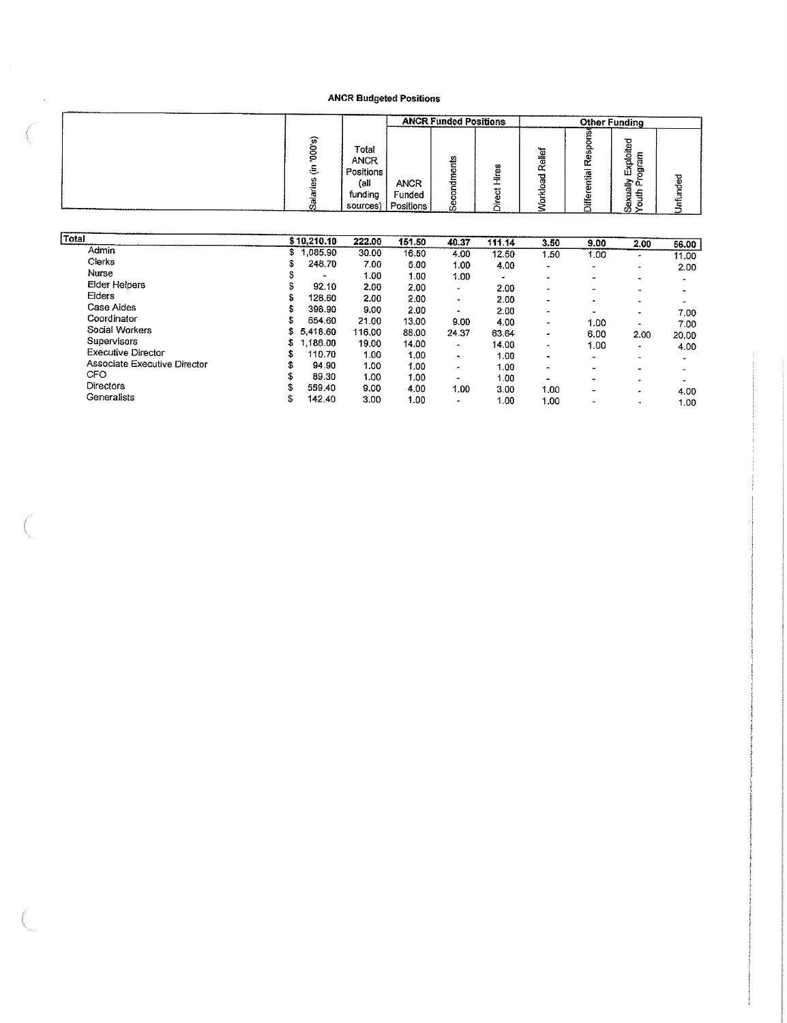|               |             |                                                                  |                                    | <b>ANCR Funded Positions</b>                            |   |                         |             | Other Funding                                                |         |
|---------------|-------------|------------------------------------------------------------------|------------------------------------|---------------------------------------------------------|---|-------------------------|-------------|--------------------------------------------------------------|---------|
| ------------- | ଜ<br>్<br>w | Total<br><b>ANCR</b><br>Positions<br>(all<br>funding<br>sources) | <b>ANCR</b><br>Funded<br>Positions | ø<br>⊏<br>$\overline{\phantom{a}}$<br>ాడ<br>с<br>ω<br>Ø | w | بسهه<br>elle:<br>́<br>٣ | œ<br>≌<br>ត | ≂<br>Őä<br>∼<br>ā.<br>க<br>ш<br>--<br>œ<br><br>∽<br>ai<br>U) | Φ<br>سي |

| Total                        |     | \$10,210.10 | 222.00 | 151.50 | 40.37                  | 111.14    | 3.50                     | 9.00                     | 2.00                     | 56.00 |
|------------------------------|-----|-------------|--------|--------|------------------------|-----------|--------------------------|--------------------------|--------------------------|-------|
| Admin                        | \$1 | ,085.90     | 30.00  | 16.50  | 4.00                   | 12.50     | 1.50                     | 1.00                     | $\rightarrow$            | 11.00 |
| Clerks                       | S   | 248.70      | 7.00   | 5.00   | 1.00                   | 4.00      | $\sim$                   |                          |                          |       |
| Nurse                        | Ð   |             | 1.00   | 1.00   | 1.00                   | $\bullet$ | $\overline{\phantom{a}}$ |                          | ٠                        | 2.00  |
| Elder Helpers                | 5.  | 92.10       | 2.00   | 2.00   | $\sim$                 | 2.00      |                          | $\overline{\phantom{0}}$ | $\blacksquare$           |       |
| Elders                       | s   | 128.60      | 2.00   | 2.00   | $\sim$                 | 2.00      | ۰                        | $\overline{\phantom{0}}$ | $\rightarrow$            |       |
| Case Aides                   | S   | 398.90      | 9.00   | 2.00   |                        | 2.00      | $\qquad \qquad$          | $\bullet$                | $\bullet$                |       |
| Coordinator                  | s.  | 654.60      | 21.00  | 13.00  | $\blacksquare$<br>9.00 |           | ۰.                       | $\blacksquare$           | ۰.                       | 7.00  |
| Social Workers               |     | \$5,418,60  | 116.00 | 88,00  |                        | 4.00      | ۰.                       | 1.00                     | -                        | 7.00  |
| Supervisors                  | s   | .186.00     |        |        | 24.37                  | 63.64     | ٠                        | 6.00                     | 2.00                     | 20.00 |
| Executive Director           | \$  |             | 19.00  | 14.00  | $\blacksquare$         | 14.00     | $\bullet$                | 1.00                     | ٠                        | 4.00  |
|                              |     | 110.70      | 1.00   | 1.00   | $\blacksquare$         | 1.00      | ۰                        | $\tilde{\phantom{a}}$    | ۰                        |       |
| Associate Executive Director | \$  | 94.90       | 1.00   | 1.00   | ۰                      | 1.00      | $\overline{\phantom{a}}$ | $\overline{\phantom{a}}$ | $\overline{\phantom{0}}$ |       |
| <b>CFO</b>                   | \$  | 89.30       | 1.00   | 1.00   | $\sim$                 | 1.00      | $\cdot$                  |                          | $\overline{\phantom{a}}$ |       |
| <b>Directors</b>             | s.  | 559.40      | 9.00   | 4.00   | 1.00                   | 3.00      | 1.00                     |                          | $\tilde{\phantom{a}}$    | 4.00  |
| Generalists                  | \$  | 142.40      | 3.00   | 1.00   | ۰                      | 1.00      | 1.00                     | $\tilde{\phantom{a}}$    | ٠                        | 1.00  |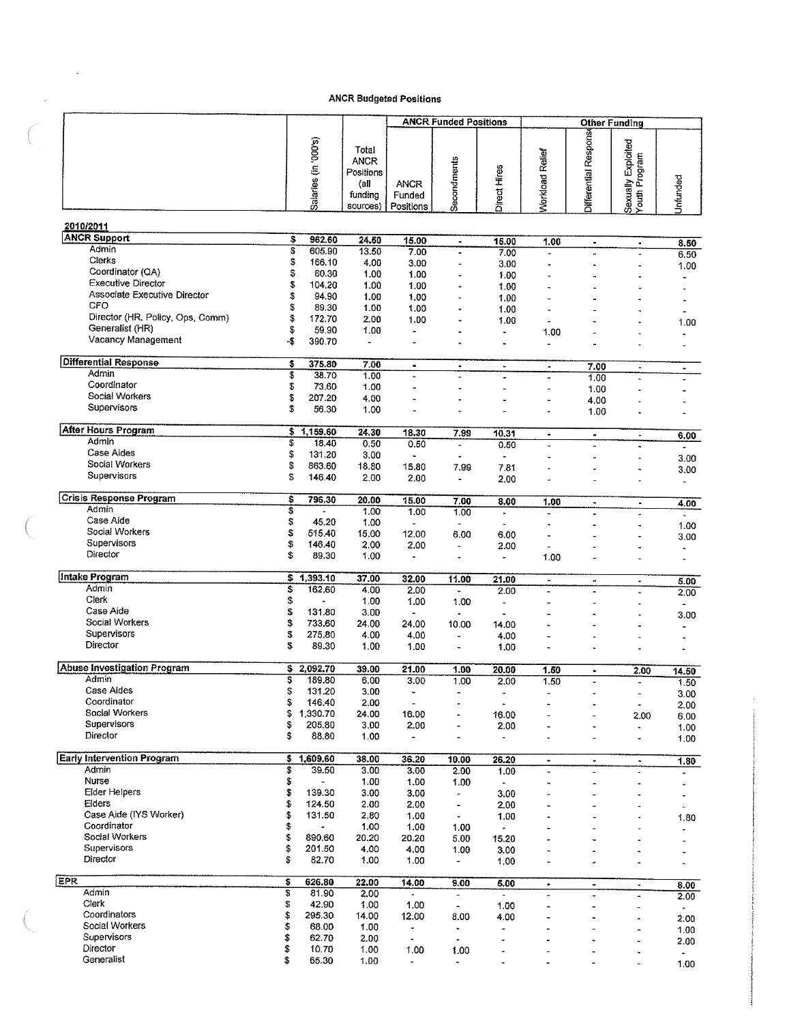|     |                                             |          |                      |                                                                  | <b>ANCR Budgeted Positions</b>     |                                  |                                    |                          |                                 |                                              |                                  |
|-----|---------------------------------------------|----------|----------------------|------------------------------------------------------------------|------------------------------------|----------------------------------|------------------------------------|--------------------------|---------------------------------|----------------------------------------------|----------------------------------|
|     |                                             |          |                      |                                                                  |                                    | <b>ANCR Funded Positions</b>     |                                    |                          | <b>Other Funding</b>            |                                              |                                  |
|     |                                             |          | Salaries (in '000's) | Total<br><b>ANCR</b><br>Positions<br>(all<br>funding<br>sources) | <b>ANCR</b><br>Funded<br>Positions | Secondments                      | Direct Hires                       | <b>Norkload Relief</b>   | <b>Jifferential Response</b>    | Sexually Exploited<br>Youth Program          | Unfunded                         |
|     | 2010/2011                                   |          |                      |                                                                  |                                    |                                  |                                    |                          |                                 |                                              |                                  |
|     | <b>ANCR Support</b>                         | \$       | 962.60               | 24.50                                                            | 15.00                              | $\blacksquare$                   | 15.00                              | 1.00                     | ۰                               | $\blacksquare$                               | 8.50                             |
|     | Admin                                       | s        | 605.90               | 13.50                                                            | 7.00                               |                                  | 7.00                               | ä,                       | Ĭ.                              | $\ddot{\phantom{0}}$                         | 6.50                             |
|     | Clerks<br>Coordinator (QA)                  | 5<br>\$  | 166.10<br>60.30      | 4.00                                                             | 3.00                               | $\overline{a}$                   | 3.00                               |                          |                                 |                                              | 1.00                             |
|     | <b>Executive Director</b>                   | \$       | 104,20               | 1.00<br>1.00                                                     | 1.00<br>1.00                       | $\ddot{\phantom{1}}$             | 1.00<br>1.00                       |                          |                                 | ٠                                            | ۰                                |
|     | Associate Executive Director                | \$       | 94.90                | 1.00                                                             | 1.00                               | L,                               | 1.00                               |                          |                                 |                                              |                                  |
|     | CFO<br>Director (HR, Policy, Ops, Comm)     | \$<br>\$ | 89.30<br>172.70      | 1.00<br>2.00                                                     | 1.00<br>1.00                       | $\frac{1}{2}$<br>$\overline{a}$  | 1.00                               |                          |                                 |                                              | $\ddot{\phantom{0}}$             |
|     | Generalist (HR)                             | \$       | 59.90                | 1.00                                                             | ٠                                  |                                  | 1.00<br>$\ddot{\phantom{1}}$       | 1.00                     | L,                              | ä,                                           | 1.00                             |
|     | Vacancy Management                          | -\$      | 390.70               | $\overline{\phantom{a}}$                                         | ÷,                                 |                                  | ٠                                  | ÷                        |                                 |                                              |                                  |
|     | <b>Differential Response</b>                | \$       | 375.80               | 7.00                                                             | $\bullet$                          | $\blacksquare$                   | $\hat{\phantom{a}}$                | ۰                        | 7.00                            | $\blacksquare$                               | $\tilde{\phantom{a}}$            |
|     | Admin                                       | \$       | 38.70                | 1.00                                                             | ×.                                 |                                  |                                    | ä,                       | 1.00                            | $\ddot{ }$                                   |                                  |
|     | Coordinator<br>Social Workers               | \$<br>\$ | 73.60<br>207.20      | 1.00<br>4.00                                                     |                                    | ÷.                               |                                    | ٠                        | 1.00                            |                                              |                                  |
|     | Supervisors                                 | \$       | 56.30                | 1.00                                                             | ÷,                                 |                                  | $\blacksquare$                     | ٠                        | 4.00<br>1.00                    |                                              |                                  |
|     | <b>After Hours Program</b>                  |          | \$1,159.60           | 24.30                                                            | 18.30                              | 7.99                             | 10.31                              | $\bullet$                | $\bullet$                       |                                              |                                  |
|     | Admin                                       | \$       | 18.40                | 0.50                                                             | 0.50                               | L,                               | 0.50                               | $\overline{a}$           | $\overline{a}$                  | $\blacksquare$                               | 6.00<br>$\bullet$                |
|     | Case Aides<br>Social Workers                | \$       | 131.20               | 3.00                                                             |                                    |                                  |                                    |                          | $\ddot{\phantom{0}}$            | ٠                                            | 3.00                             |
|     | Supervisors                                 | S<br>S   | 863.60<br>146.40     | 18.80<br>2.00                                                    | 15.80<br>2.00                      | 7.99<br>$\overline{a}$           | 7.81<br>2.00                       |                          |                                 | ٠<br>÷.                                      | 3.00<br>$\overline{\phantom{a}}$ |
|     | <b>Crisis Response Program</b>              | S        | 796.30               | 20.00                                                            | 15.00                              | 7.00                             | 8.00                               | 1.00                     | $\bullet$                       |                                              |                                  |
|     | Admin                                       | s,       |                      | 1.00                                                             | 1.00                               | 1.00                             | $\blacksquare$                     | ä,                       |                                 | $\blacksquare$                               | 4.00<br>$\omega$                 |
|     | Case Aide<br>Social Workers                 | \$       | 45.20                | 1.00                                                             | $\overline{a}$                     | $\tilde{\phantom{a}}$            | L,                                 |                          | $\ddot{\phantom{1}}$            | à,                                           | 1.00                             |
|     | Supervisors                                 | \$<br>\$ | 515.40<br>146.40     | 15.00<br>2.00                                                    | 12.00<br>2.00                      | 6.00<br>$\overline{\phantom{a}}$ | 6.00<br>2.00                       | ä,                       |                                 |                                              | 3.00                             |
|     | Director                                    | \$       | 89.30                | 1.00                                                             | $\blacksquare$                     | ٠                                |                                    | 1.00                     |                                 |                                              | $\ddot{\phantom{0}}$             |
|     | Intake Program                              | \$       | 1,393.10             | 37.00                                                            | 32.00                              | 11.00                            | 21.00                              | $\blacksquare$           | ۰                               | $\bullet$                                    | 5.00                             |
|     | Admin<br>Clerk                              | \$       | 162,60               | 4.00                                                             | 2.00                               | $\overline{\phantom{a}}$         | 2.00                               |                          |                                 | ä,                                           | 2.00                             |
|     | Case Aide                                   | \$<br>\$ | 131.80               | 1.00<br>3.00                                                     | 1.00<br>$\ddot{\phantom{0}}$       | 1.00                             | $\qquad \qquad \blacksquare$<br>u, |                          | $\overline{a}$                  | $\ddot{\phantom{0}}$<br>٠                    | $\blacksquare$<br>3.00           |
|     | Social Workers                              | \$       | 733.60               | 24.00                                                            | 24.00                              | 10.00                            | 14.00                              |                          |                                 | à,                                           |                                  |
|     | Supervisors<br>Director                     | \$       | 275.80               | 4.00                                                             | 4.00                               | ä,                               | 4.00                               |                          |                                 |                                              | $\ddot{\phantom{0}}$             |
|     |                                             | \$       | 89.30                | 1.00                                                             | 1.00                               |                                  | 1.00                               |                          |                                 |                                              |                                  |
|     | <b>Abuse Investigation Program</b><br>Admin | \$       | 2,092.70             | 39.00                                                            | 21.00                              | 1.00                             | 20.00                              | 1.50                     | $\bullet$                       | 2.00                                         | 14.50                            |
|     | Case Aides                                  | \$<br>s  | 189.80<br>131.20     | 6.00<br>3.00                                                     | 3.00<br>$\blacksquare$             | 1.00<br>$\blacksquare$           | 2.00                               | 1.50                     |                                 | $\blacksquare$<br>$\ddot{\phantom{0}}$       | 1.50<br>3.00                     |
|     | Coordinator                                 | \$       | 146.40               | 2.00                                                             | $\blacksquare$                     |                                  | ٠                                  |                          | $\ddot{\phantom{0}}$            | L,                                           | 2.00                             |
|     | Social Workers<br>Supervisors               | \$       | 1.330.70             | 24.00                                                            | 16.00                              |                                  | 16.00                              |                          |                                 | 2.00                                         | 6.00                             |
|     | Director                                    | \$<br>\$ | 205.80<br>88.80      | 3.00<br>1.00                                                     | 2.00<br>$\overline{a}$             | $\overline{a}$                   | 2.00                               | ä,<br>                   | $\rightarrow$<br>$\blacksquare$ | ٠<br>ä,                                      | 1.00<br>1.00                     |
|     | <b>Early Intervention Program</b>           | \$       | 1,609.60             | 38.00                                                            | 36.20                              |                                  |                                    |                          |                                 |                                              |                                  |
|     | Admin                                       | \$       | 39.50                | 3.00                                                             | 3.00                               | 10.00<br>2.00                    | 26.20<br>1.00                      | $\blacksquare$           | ۰<br>$\overline{a}$             | $\blacksquare$<br>$\ddot{\phantom{0}}$       | 1.80<br>$\overline{\phantom{a}}$ |
|     | Nurse                                       | \$       |                      | 1.00                                                             | 1.00                               | 1.00                             | $\blacksquare$                     |                          | ÷.                              | $\overline{a}$                               | $\ddot{\phantom{0}}$             |
|     | <b>Elder Helpers</b><br>Elders              | \$<br>\$ | 139.30<br>124.50     | 3.00<br>2.00                                                     | 3.00<br>2.00                       | $\tilde{\phantom{a}}$<br>w,      | 3.00<br>2.00                       |                          |                                 |                                              | $\ddot{\phantom{1}}$             |
|     | Case Aide (IYS Worker)                      | \$       | 131.50               | 2.80                                                             | 1.00                               | $\ddot{\phantom{1}}$             | 1.00                               |                          |                                 | ٠<br>$\ddot{\phantom{0}}$                    | $\mathbf{u}$<br>1.80             |
|     | Coordinator                                 | \$       |                      | 1.00                                                             | 1.00                               | 1.00                             | $\blacksquare$                     |                          |                                 | $\ddot{\phantom{0}}$                         | $\cdot$                          |
|     | Social Workers<br>Supervisors               | \$<br>\$ | 890.60<br>201.50     | 20.20<br>4.00                                                    | 20.20<br>4.00                      | 5.00<br>1.00                     | 15.20<br>3.00                      |                          |                                 |                                              | $\overline{\phantom{a}}$         |
|     | Director                                    | \$       | 82.70                | 1.00                                                             | 1.00                               | $\equiv$                         | 1.00                               | L.                       | ÷,                              |                                              | ä,                               |
| EPR |                                             | \$       | 626.80               | 22.00                                                            | 14.00                              | 9.00                             | 5.00                               | $\bullet$                | $\blacksquare$                  | $\tilde{\phantom{a}}$                        | 8.00                             |
|     | Admin<br>Clerk                              | \$<br>\$ | 81.90                | 2.00                                                             |                                    | $\blacksquare$                   | $\Box$                             | $\ddot{\phantom{0}}$     | $\overline{a}$                  | $\ddot{\phantom{0}}$                         | 2.00                             |
|     | Coordinators                                | \$       | 42.90<br>295.30      | 1.00<br>14.00                                                    | 1.00<br>12.00                      | $\hat{\phantom{a}}$<br>8.00      | 1.00<br>4.00                       | $\overline{\phantom{0}}$ | ä,<br>$\blacksquare$            | $\ddot{\phantom{0}}$<br>$\ddot{\phantom{0}}$ | $\sim$<br>2.00                   |
|     | Social Workers                              | \$       | 68.00                | 1.00                                                             | $\ddot{\phantom{0}}$               | $\blacksquare$                   | $\ddot{ }$                         |                          |                                 | ×,                                           | 1.00                             |
|     | Supervisors<br>Director                     | \$<br>\$ | 62.70<br>10.70       | 2.00                                                             | $\blacksquare$                     | $\bullet$                        | ۰                                  |                          | ä,                              | $\ddot{\phantom{0}}$                         | 2.00                             |
|     | Generalist                                  | \$       | 65.30                | 1.00<br>1.00                                                     | 1.00<br>$\tilde{\phantom{a}}$      | 1.00<br>$\overline{\phantom{a}}$ | $\bullet$<br>$\ddot{\phantom{1}}$  |                          |                                 | $\ddot{\phantom{0}}$                         | $\overline{\phantom{a}}$<br>1.00 |
|     |                                             |          |                      |                                                                  |                                    |                                  |                                    |                          |                                 |                                              |                                  |

 $\sim 10^6$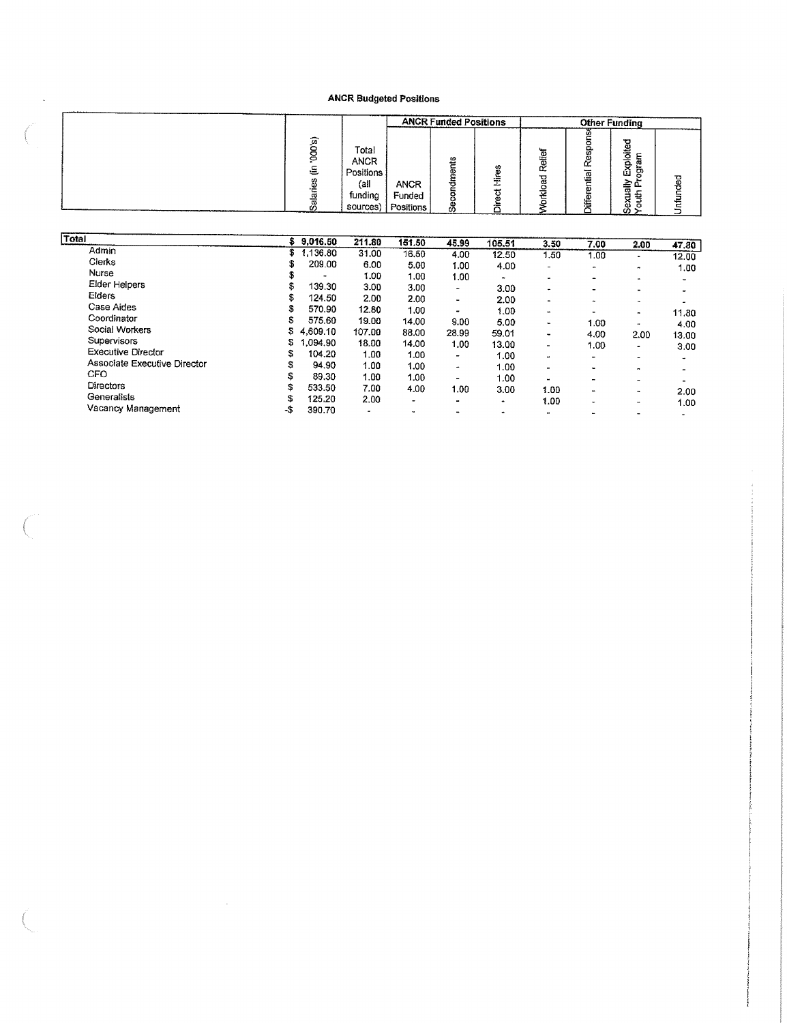|             |                                                                 |                                    | <b>ANCR Funded Positions</b> |                   |                     | <b>Other Funding</b>                                                |   |
|-------------|-----------------------------------------------------------------|------------------------------------|------------------------------|-------------------|---------------------|---------------------------------------------------------------------|---|
| 峦<br>こ<br>ω | Total<br><b>ANCR</b><br>Positions<br>(a)<br>funding<br>sources) | <b>ANCR</b><br>Funded<br>Positions | 5<br>o<br>n<br>w.<br>Ũ.      | ቼ<br>ñ٦<br>œ<br>œ | ω<br>Φ<br>œ<br>liai | ᇃ<br>ست<br>ō<br>o.<br>π<br>ō<br>ш<br>، ج<br>ω<br>27<br>∼<br>۵ī<br>ω | 몽 |

| Total                        |     | \$9,016.50 | 211.80 | 151.50                   | 45.99          | 105.51 | 3.50           | 7.00                     | 2.00                     | 47.80 |
|------------------------------|-----|------------|--------|--------------------------|----------------|--------|----------------|--------------------------|--------------------------|-------|
| Admin                        | S.  | .136.80    | 31.00  | 16.50                    | 4.00           | 12.50  | 1.50           | 1.00                     | $\tilde{\phantom{a}}$    | 12.00 |
| Clerks                       |     | 209.00     | 6.00   | 5.00                     | 1.00           | 4.00   | Ξ.             | ۰                        |                          |       |
| Nurse                        | S   |            | 1.00   | 1.00                     | 1.00           |        |                |                          | $\overline{\phantom{a}}$ | 1.00  |
| Elder Helpers                | \$  | 139.30     | 3.00   | 3.00                     | ٠              | 3.00   |                | $\blacksquare$           | $\sim$                   |       |
| <b>Elders</b>                | S.  | 124.50     | 2.00   | 2.00                     |                | 2.00   | ۰.             | $\overline{\phantom{0}}$ | ٠                        |       |
| Case Aides                   | s   | 570.90     |        |                          | ٠              |        | -              | $\blacksquare$           | ٠                        |       |
| Coordinator                  |     |            | 12.80  | 1.00                     | ٠              | 1.00   | $\blacksquare$ |                          | $\tilde{\phantom{a}}$    | 11.80 |
|                              | s   | 575.60     | 19.00  | 14.00                    | 9.00           | 5.00   | $\blacksquare$ | 1.00                     | $\mathbf{r}$             | 4.00  |
| Social Workers               | s   | 4,609.10   | 107.00 | 88.00                    | 28.99          | 59.01  | $\bullet$      | 4.00                     | 2.00                     | 13.00 |
| <b>Supervisors</b>           | S   | .094.90    | 18.00  | 14.00                    | 1.00           | 13.00  | $\sim$         | 1.00                     | $\bullet$                | 3.00  |
| <b>Executive Director</b>    | s   | 104.20     | 1.00   | 1.00                     | ۰              | 1.00   | $\mathbf{r}$   |                          | $\blacksquare$           |       |
| Associate Executive Director | S   | 94.90      | 1.00   | 1.00                     | ٠              | 1.00   |                | $\blacksquare$           | $\cdot$                  |       |
| <b>CFO</b>                   | \$  | 89.30      | 1.00   | 1.00                     | $\blacksquare$ | 1.00   |                |                          |                          |       |
| <b>Directors</b>             | \$  | 533.50     | 7.00   | 4.00                     |                |        |                |                          | $\blacksquare$           |       |
| Generalists                  |     |            |        |                          | 1.00           | 3.00   | 1.00           | $\overline{\phantom{a}}$ | $\cdot$                  | 2.00  |
|                              | s   | 125.20     | 2.00   | ۰                        | ۰              | ٠      | 1.00           |                          | $\overline{\phantom{a}}$ | 1.00  |
| Vacancy Management           | -\$ | 390.70     | ۰      | $\overline{\phantom{a}}$ |                | ٠      |                |                          | $\overline{\phantom{a}}$ | ۰     |

 $\sim$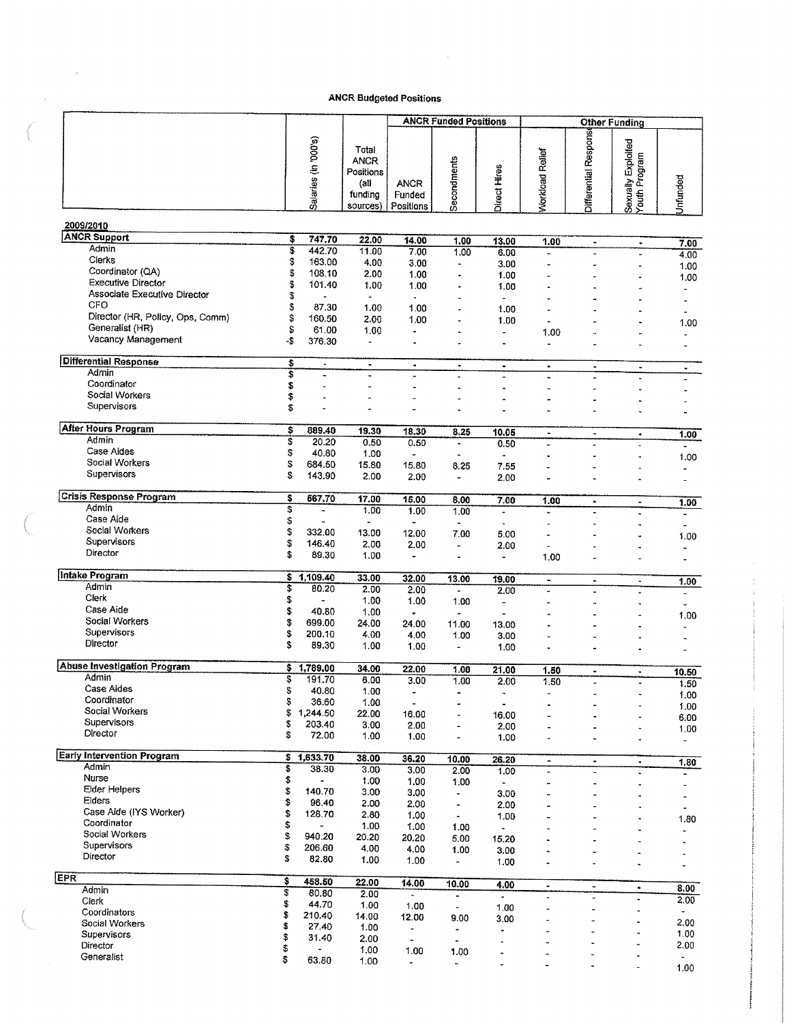$\sim 10^6$ 

 $\sim$ 

|                                            |          |                          |                                                           | <b>ANCR Budgeted Positions</b>     |                                         |                          |                               |                                  |                                              |                              |
|--------------------------------------------|----------|--------------------------|-----------------------------------------------------------|------------------------------------|-----------------------------------------|--------------------------|-------------------------------|----------------------------------|----------------------------------------------|------------------------------|
|                                            |          |                          |                                                           |                                    | <b>ANCR Funded Positions</b>            |                          |                               |                                  | <b>Other Funding</b>                         |                              |
|                                            |          | Salaries (in '000's)     | Total<br>ANCR<br>Positions<br>(all<br>funding<br>sources) | <b>ANCR</b><br>Funded<br>Positions | Secondments                             | Direct Hires             | <b>Workload Relief</b>        | Differential Respons             | Sexually Exploited<br>Youth Program          | Unfunded                     |
| 2009/2010                                  |          |                          |                                                           |                                    |                                         |                          |                               |                                  |                                              |                              |
| <b>ANCR Support</b>                        | \$       | 747.70                   | 22.00                                                     | 14.00                              | 1.00                                    | 13.00                    | 1.00                          |                                  |                                              |                              |
| Admin                                      | \$       | 442.70                   | 11.00                                                     | 7.00                               | 1.00                                    | 6.00                     | $\omega$                      | $\blacksquare$<br>$\ddot{ }$     | ۰<br>L.                                      | 7.00<br>4.00                 |
| Clerks                                     | \$       | 163.00                   | 4.00                                                      | 3.00                               | $\overline{a}$                          | 3.00                     |                               |                                  |                                              | 1.00                         |
| Coordinator (QA)                           | \$       | 108.10                   | 2.00                                                      | 1.00                               |                                         | 1.00                     |                               |                                  |                                              | 1.00                         |
| <b>Executive Director</b>                  | \$       | 101.40                   | 1.00                                                      | 1.00                               | $\blacksquare$                          | 1.00                     |                               |                                  |                                              |                              |
| Associate Executive Director               | \$       |                          | $\blacksquare$                                            | $\blacksquare$                     |                                         | $\blacksquare$           |                               |                                  |                                              | $\blacksquare$               |
| CFO<br>Director (HR, Policy, Ops, Comm)    | \$       | 87.30                    | 1.00                                                      | 1.00                               | ÷.                                      | 1.00                     |                               |                                  |                                              |                              |
| Generalist (HR)                            | \$<br>\$ | 160.50<br>61.00          | 2.00<br>1.00                                              | 1.00                               |                                         | 1.00                     |                               |                                  |                                              | 1.00                         |
| Vacancy Management                         | -\$      | 376.30                   | ٠                                                         | $\ddot{\phantom{a}}$               |                                         | $\ddot{\phantom{1}}$     | 1.00<br>$\mathbf{a}$          |                                  |                                              | $\overline{a}$               |
|                                            |          |                          |                                                           |                                    |                                         |                          |                               |                                  |                                              | $\blacksquare$               |
| <b>Differential Response</b>               | \$       | $\overline{\phantom{a}}$ | $\blacksquare$                                            | $\bullet$                          | $\blacksquare$                          | $\blacksquare$           | $\blacksquare$                | $\bullet$                        | $\hbox{\small -}$                            | $\blacksquare$               |
| Admin<br>Coordinator                       | \$       |                          | i.                                                        |                                    | $\overline{a}$                          | $\overline{a}$           |                               |                                  |                                              |                              |
| Social Workers                             | \$       | $\overline{a}$           |                                                           |                                    | ٠                                       | $\sim$                   |                               |                                  |                                              |                              |
| Supervisors                                | \$<br>\$ | ٠<br>L                   |                                                           |                                    |                                         |                          |                               |                                  |                                              |                              |
|                                            |          |                          |                                                           |                                    |                                         |                          |                               |                                  |                                              |                              |
| <b>After Hours Program</b>                 | \$       | 889.40                   | 19.30                                                     | 18.30                              | 8.25                                    | 10.05                    | $\blacksquare$                | $\overline{\phantom{a}}$         | ۰                                            | 1.00                         |
| Admin                                      | \$       | 20.20                    | 0.50                                                      | 0.50                               | $\blacksquare$                          | 0.50                     |                               |                                  | $\blacksquare$                               |                              |
| Case Aides                                 | \$       | 40.80                    | 1.00                                                      |                                    | $\ddot{\phantom{0}}$                    |                          |                               |                                  | u,                                           | 1.00                         |
| Social Workers<br>Supervisors              | \$       | 684.50                   | 15.80                                                     | 15.80                              | 8.25                                    | 7.55                     |                               |                                  |                                              |                              |
|                                            | S        | 143.90                   | 2.00                                                      | 2.00                               | $\blacksquare$                          | 2.00                     | ÷.                            |                                  |                                              | ۰                            |
| <b>Crisis Response Program</b>             | \$       | 567.70                   | 17.00                                                     | 15.00                              | 8.00                                    | 7.00                     | 1.00                          | $\blacksquare$                   | $\hat{\phantom{a}}$                          |                              |
| Admin                                      | \$       |                          | 1.00                                                      | 1.00                               | 1.00                                    | $\ddot{\phantom{a}}$     | $\ddot{\phantom{0}}$          |                                  |                                              | 1.00<br>$\ddot{\phantom{1}}$ |
| Case Aide                                  | \$       |                          | $\blacksquare$                                            | $\blacksquare$                     | $\overline{\phantom{a}}$                |                          | ٠                             |                                  | ۰                                            | $\overline{\phantom{0}}$     |
| Social Workers                             | \$       | 332.00                   | 13.00                                                     | 12.00                              | 7.00                                    | 5.00                     |                               |                                  |                                              | 1.00                         |
| Supervisors<br>Director                    | \$       | 146,40                   | 2.00                                                      | 2.00                               | $\blacksquare$                          | 2.00                     | $\blacksquare$                |                                  | ٠                                            | $\blacksquare$               |
|                                            | S        | 89.30                    | 1.00                                                      | $\blacksquare$                     | $\overline{\phantom{a}}$                | ÷                        | 1.00                          |                                  |                                              |                              |
| Intake Program                             |          | \$1,109.40               | 33.00                                                     | 32.00                              | 13.00                                   | 19.00                    | $\blacksquare$                | $\bullet$                        | $\blacksquare$                               | 1.00                         |
| Admin                                      | \$       | 80.20                    | 2.00                                                      | 2.00                               | $\blacksquare$                          | 2.00                     |                               |                                  |                                              | ä,                           |
| Clerk                                      | \$       | $\overline{\phantom{a}}$ | 1.00                                                      | 1.00                               | 1.00                                    | $\overline{\phantom{m}}$ |                               |                                  |                                              | ù,                           |
| Case Aide                                  | \$       | 40.80                    | 1.00                                                      | ٠                                  | $\tilde{\phantom{a}}$                   | $\overline{\phantom{m}}$ |                               |                                  |                                              | 1.00                         |
| Social Workers<br>Supervisors              | \$<br>\$ | 699.00                   | 24.00                                                     | 24.00                              | 11.00                                   | 13.00                    |                               |                                  |                                              |                              |
| Director                                   | \$       | 200.10<br>89.30          | 4.00<br>1.00                                              | 4.00<br>1.00                       | 1.00<br>$\tilde{\phantom{a}}$           | 3.00                     |                               |                                  |                                              |                              |
|                                            |          |                          |                                                           |                                    |                                         | 1.00                     |                               |                                  |                                              |                              |
| <b>Abuse Investigation Program</b>         | \$       | 1,789.00                 | 34.00                                                     | 22.00                              | 1.00                                    | 21.00                    | 1.50                          | $\qquad \qquad \blacksquare$     | ٠                                            | 10.50                        |
| Admin                                      | \$       | 191.70                   | 6.00                                                      | 3.00                               | 1.00                                    | 2.00                     | 1.50                          |                                  |                                              | 1.50                         |
| Case Aides<br>Coordinator                  | \$       | 40.80                    | 1.00                                                      | ä,                                 | $\blacksquare$                          |                          | $\tilde{\phantom{a}}$         | $\ddot{ }$                       |                                              | 1.00                         |
| Social Workers                             | \$<br>\$ | 36.60<br>1,244.50        | 1.00                                                      | $\ddot{\phantom{0}}$               | -                                       |                          | $\blacksquare$                |                                  |                                              | 1.00                         |
| Supervisors                                | \$       | 203.40                   | 22.00<br>3.00                                             | 16.00<br>2.00                      | $\overline{a}$                          | 16.00                    | $\blacksquare$                |                                  | $\overline{\phantom{a}}$                     | 6.00                         |
| Director                                   | \$       | 72.00                    | 1.00                                                      | 1.00                               | $\ddot{ }$                              | 2.00<br>1.00             | $\ddot{\phantom{0}}$          |                                  | $\blacksquare$                               | 1.00                         |
|                                            |          |                          |                                                           |                                    |                                         |                          |                               |                                  |                                              | $\frac{1}{2}$                |
| <b>Early Intervention Program</b><br>Admin | s        | 1,633.70                 | 38.00                                                     | 36.20                              | 10.00                                   | 26.20                    | $\blacksquare$                | $\blacksquare$                   | $\blacksquare$                               | 1.80                         |
| Nurse                                      | \$<br>\$ | 38.30                    | 3.00                                                      | 3.00                               | 2.00                                    | 1.00                     | $\overline{\phantom{a}}$      | $\ddot{\phantom{0}}$             |                                              | $\blacksquare$               |
| Elder Helpers                              | \$       | 140.70                   | 1.00<br>3.00                                              | 1.00<br>3.00                       | 1.00                                    | $\overline{\phantom{a}}$ | $\overline{a}$                |                                  |                                              | -                            |
| Elders                                     | \$       | 96.40                    | 2.00                                                      | 2.00                               | $\blacksquare$<br>$\tilde{\phantom{a}}$ | 3.00<br>2.00             |                               |                                  |                                              |                              |
| Case Aide (IYS Worker)                     | \$       | 128.70                   | 2.80                                                      | 1.00                               | $\bullet$                               | 1.00                     |                               |                                  |                                              | ٠                            |
| Coordinator                                | \$       |                          | 1.00                                                      | 1.00                               | 1.00                                    |                          |                               |                                  |                                              | 1.80                         |
| Social Workers                             | \$       | 940.20                   | 20.20                                                     | 20.20                              | 5.00                                    | 15.20                    |                               |                                  |                                              |                              |
| Supervisors<br>Director                    | \$       | 206.60                   | 4.00                                                      | 4.00                               | 1.00                                    | 3.00                     |                               |                                  | ÷.                                           |                              |
|                                            | S        | 82.80                    | 1.00                                                      | 1.00                               | $\overline{\phantom{a}}$                | 1.00                     | $\ddot{\phantom{0}}$          |                                  | L.                                           |                              |
| EPR                                        | \$       | 458.50                   | 22.00                                                     | 14.00                              | 10.00                                   |                          |                               |                                  |                                              |                              |
| Admin                                      | \$       | 80.80                    | 2.00                                                      | $\blacksquare$                     | ٠                                       | 4.00<br>$\bullet$        | $\overline{\phantom{a}}$<br>٠ | $\blacksquare$<br>$\overline{a}$ | $\blacksquare$                               | 8.00                         |
| Clerk                                      | \$       | 44.70                    | 1.00                                                      | 1.00                               | $\blacksquare$                          | 1.00                     | $\overline{a}$                | ÷,                               | $\ddot{\phantom{0}}$<br>$\ddot{\phantom{0}}$ | 2.00                         |
| Coordinators<br>Social Workers             | \$       | 210.40                   | 14.00                                                     | 12.00                              | 9.00                                    | 3.00                     | $\overline{\phantom{a}}$      |                                  |                                              | 2.00                         |
| Supervisors                                | \$       | 27.40                    | 1.00                                                      | $\blacksquare$                     | $\ddot{\phantom{1}}$                    |                          | $\ddot{\phantom{1}}$          | $\rightarrow$                    | $\ddot{\phantom{1}}$                         | 1.00                         |
| Director                                   | \$<br>\$ | 31.40                    | 2.00<br>1.00                                              | $\blacksquare$                     | $\overline{\phantom{a}}$                |                          |                               |                                  |                                              | 2.00                         |
| Generalist                                 | \$       | 63.80                    | 1.00                                                      | 1.00<br>$\frac{1}{2}$              | 1.00<br>$\blacksquare$                  | ۰                        |                               |                                  |                                              | $\tilde{\phantom{a}}$        |
|                                            |          |                          |                                                           |                                    |                                         |                          |                               |                                  |                                              | 1.00                         |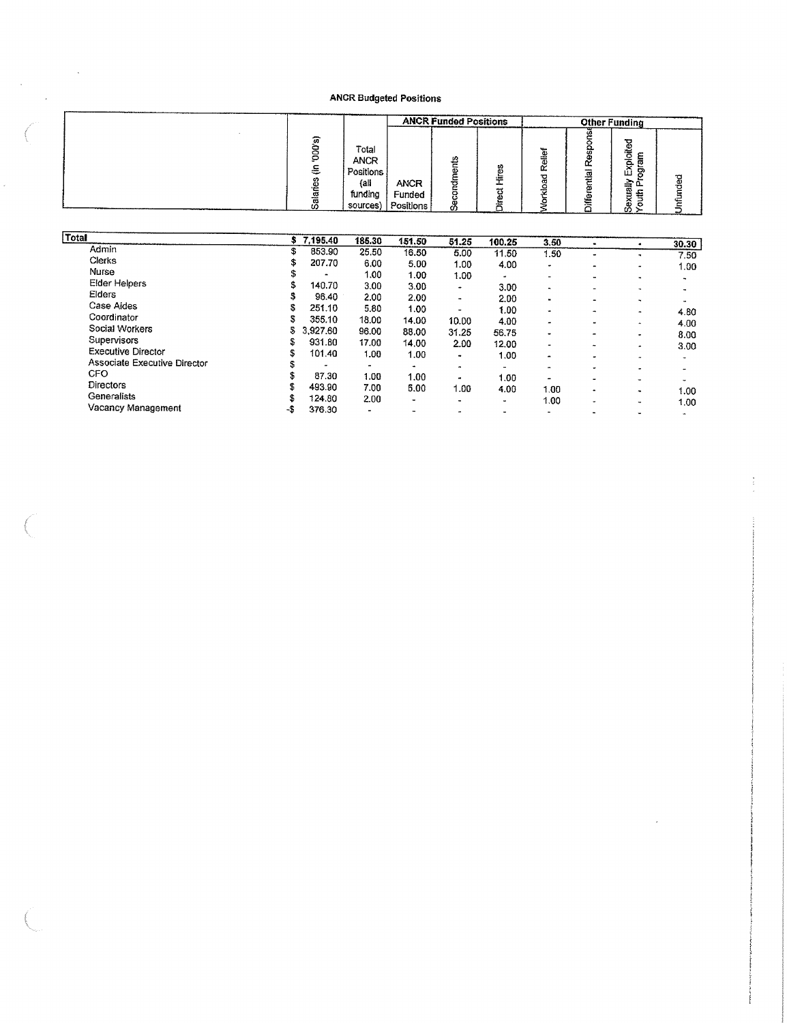$\bar{\phantom{a}}$ 

 $\bar{\phantom{a}}$ 

 $\epsilon$ 

|            |                                                                  |                                     | <b>ANCR Funded Positions</b>   |                            |                          |        | <b>Other Funding</b>                        |     |
|------------|------------------------------------------------------------------|-------------------------------------|--------------------------------|----------------------------|--------------------------|--------|---------------------------------------------|-----|
| $\pi$<br>⋵ | Total<br><b>ANCR</b><br>Positions<br>(ali<br>funding<br>sources) | <b>ANCR</b><br>Funded<br>Positions, | nts<br>۵Ś<br>ठ<br>٥<br>σ<br>க் | U.<br>œ<br>يسهر<br>ω<br>α. | ቼ<br>需<br>ц.<br>₩<br>- 4 | ₫<br>m | ۰<br>్రా<br>ē<br>ఠ<br>∼<br>ш<br>ᢍ<br>œ<br>တ | ded |

| <b>Total</b>                 | s   | 7,195.40 | 185.30                   | 151.50    | 51.25                    | 100.25         | 3.50                     | $\blacksquare$              | $\bullet$                                  | 30.30                  |
|------------------------------|-----|----------|--------------------------|-----------|--------------------------|----------------|--------------------------|-----------------------------|--------------------------------------------|------------------------|
| Admin                        | \$  | 853.90   | 25.50                    | 16.50     | 5.00                     | 11.50          | 1.50                     | $\blacksquare$              | ٠                                          | 7.50                   |
| Clerks                       | \$  | 207.70   | 6.00                     | 5.00      | 1.00                     | 4.00           | ۰                        |                             |                                            |                        |
| Nurse                        | S   | ۰        | 1.00                     | 1.00      | 1.00                     | $\bullet$      | $\overline{\phantom{0}}$ | $\bullet$<br>$\blacksquare$ |                                            | 1.00.                  |
| Elder Helpers                | \$  | 140.70   | 3.00                     | 3.00      | ٠                        | 3.00           | $\overline{a}$           | $\blacksquare$              | $\blacksquare$<br>$\overline{\phantom{a}}$ | ۰                      |
| Elders                       |     | 96.40    | 2.00                     | 2.00      | ۰.                       | 2.00           | $\blacksquare$           | ۰                           |                                            | $\ddot{}$<br>$\bullet$ |
| Case Aides                   |     | 251.10   | 5.80                     | 1.00      | ۰                        | 1.00           | $\bullet$                | $\rightarrow$               | $\mathbf{r}$                               | 4.80                   |
| Coordinator                  | S   | 355.10   | 18.00                    | 14.00     | 10.00                    | 4.00           | $\overline{\phantom{a}}$ | $\bullet$                   |                                            |                        |
| Social Workers               | 5   | 3,927.60 | 96.00                    | 88.00     | 31.25                    | 56.75          | ۰                        | ۰                           | -<br>$\sim$                                | 4.00<br>8.00           |
| Supervisors                  |     | 931.80   | 17.00                    | 14.00     | 2.00                     | 12.00          |                          | ۰                           | ۰                                          | 3.00                   |
| <b>Executive Director</b>    | S   | 101.40   | 1.00                     | 1.00      | $\bullet$                | 1.00           | $\blacksquare$           | $\bullet$                   |                                            |                        |
| Associate Executive Director |     |          | $\blacksquare$           | $\bullet$ | $\ddot{\phantom{0}}$     | $\blacksquare$ | -                        | ٠                           |                                            | $\rightarrow$          |
| CFO                          |     | 87.30    | 1.00                     | 1.00      | $\overline{\phantom{a}}$ | 1.00           |                          |                             |                                            |                        |
| Directors                    |     | 493.90   | 7.00                     | 5.00      | 1.00                     | 4.00           | 1.00                     | -                           | $\overline{\phantom{0}}$                   | <b>A</b>               |
| Generalists                  |     | 124.80   | 2.00                     |           |                          |                |                          | $\bullet$                   | $\sim$                                     | 1.00                   |
| Vacancy Management           | -\$ | 376.30   | $\overline{\phantom{a}}$ | ۰<br>۰.   | ۰                        | $\blacksquare$ | 1.00                     | ٠                           | $\blacksquare$                             | 1.00                   |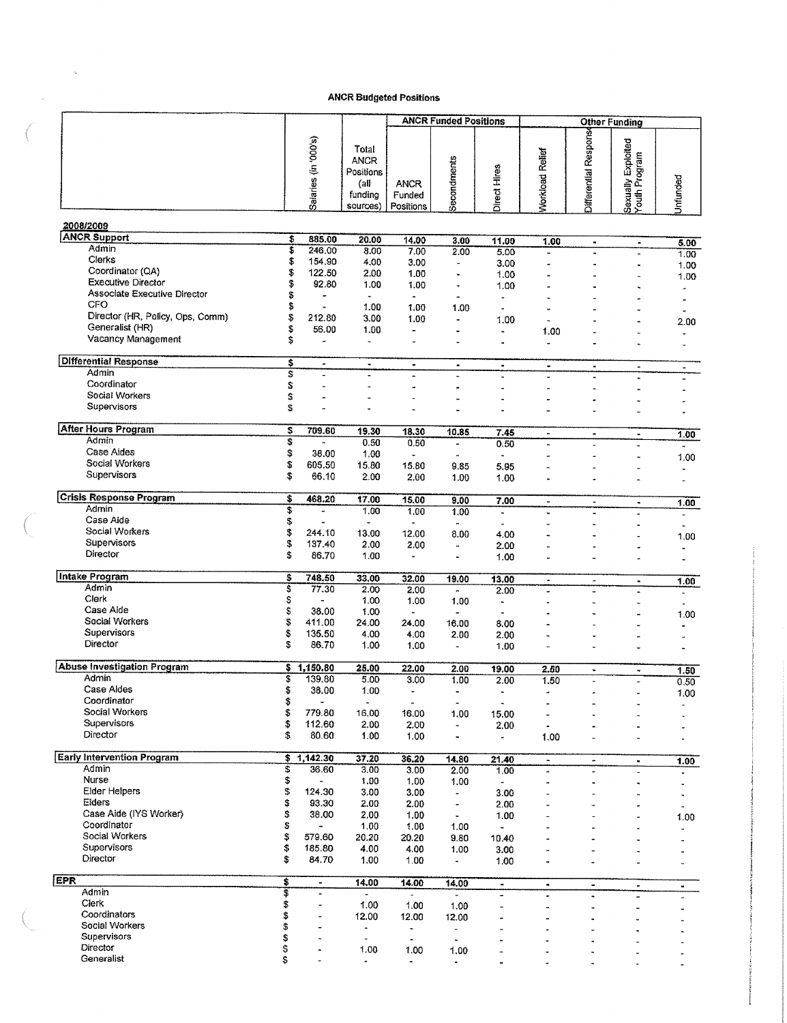|                                     |          |                                            |                                                                  | <b>ANCR Budgeted Positions</b>     |                                      |                                                   |                              |                                        |                                              |                                      |
|-------------------------------------|----------|--------------------------------------------|------------------------------------------------------------------|------------------------------------|--------------------------------------|---------------------------------------------------|------------------------------|----------------------------------------|----------------------------------------------|--------------------------------------|
|                                     |          |                                            |                                                                  |                                    | <b>ANCR Funded Positions</b>         |                                                   |                              |                                        | <b>Other Funding</b>                         |                                      |
|                                     |          | Salaries (in '000's)                       | Total<br><b>ANCR</b><br>Positions<br>(all<br>funding<br>sources) | <b>ANCR</b><br>Funded<br>Positions | Secondments                          | Direct Hires                                      | <b>Norkload Relief</b>       | Differential Respons                   | Sexually Exploited<br>Youth Program          | Unfunded                             |
| 2008/2009                           |          |                                            |                                                                  |                                    |                                      |                                                   |                              |                                        |                                              |                                      |
| <b>ANCR Support</b><br>Admin        |          | 885,00<br>\$                               | 20.00                                                            | 14.00                              | 3.00                                 | 11.00                                             | 1.00                         | $\bullet$                              | ۰                                            | 5.00                                 |
| Clerks                              |          | \$<br>246.00<br>\$<br>154.90               | 8.00<br>4.00                                                     | 7.00<br>3.00                       | 2.00<br>ä,                           | 5.00<br>3.00                                      | $\blacksquare$               | $\tilde{\phantom{a}}$                  | $\blacksquare$                               | 1.00                                 |
| Coordinator (QA)                    | \$       | 122.50                                     | 2.00                                                             | 1.00                               | ٠                                    | 1.00                                              |                              |                                        | ä,<br>$\blacksquare$                         | 1.00<br>1.00                         |
| Executive Director                  | \$       | 92.80                                      | 1.00                                                             | 1.00                               | ٠                                    | 1.00                                              |                              |                                        | ٠                                            | $\ddot{ }$                           |
| Associate Executive Director<br>CFO | \$       | ٠                                          | $\overline{\phantom{a}}$                                         | $\blacksquare$                     | $\ddot{ }$                           | $\blacksquare$                                    |                              |                                        | ×                                            | ÷,                                   |
| Director (HR, Policy, Ops, Comm)    | \$<br>\$ | $\tilde{\phantom{a}}$<br>212.80            | 1.00<br>3.00                                                     | 1.00<br>1.00                       | 1.00<br>÷                            | $\omega$<br>1.00                                  |                              |                                        |                                              | $\bullet$                            |
| Generalist (HR)                     | \$       | 56.00                                      | 1.00                                                             | $\overline{\phantom{a}}$           |                                      | $\overline{a}$                                    | 1.00                         |                                        | $\blacksquare$<br>ä,                         | 2.00<br>÷.                           |
| Vacancy Management                  | \$       | $\overline{a}$                             | $\blacksquare$                                                   | $\overline{\phantom{a}}$           |                                      | $\blacksquare$                                    |                              |                                        |                                              | $\ddot{\phantom{0}}$                 |
| <b>Differential Response</b>        | \$       | $\bullet$                                  | $\blacksquare$                                                   | $\blacksquare$                     | $\bullet$                            | $\tilde{\phantom{a}}$                             | ۰                            | $\blacksquare$                         | ٠                                            | $\sim$                               |
| Admin<br>Coordinator                | s        | $\overline{\phantom{a}}$                   | $\blacksquare$                                                   |                                    |                                      |                                                   |                              |                                        | ٠                                            |                                      |
| Social Workers                      | \$<br>\$ |                                            |                                                                  |                                    |                                      |                                                   |                              |                                        |                                              |                                      |
| Supervisors                         | \$       |                                            |                                                                  |                                    |                                      |                                                   |                              |                                        |                                              |                                      |
|                                     |          |                                            |                                                                  |                                    |                                      |                                                   |                              |                                        |                                              |                                      |
| <b>After Hours Program</b><br>Admin | \$       | 709.60                                     | 19.30                                                            | 18.30                              | 10.85                                | 7.45                                              | $\blacksquare$               | $\tilde{\phantom{a}}$                  | à.                                           | 1.00                                 |
| Case Aides                          | \$<br>\$ | $\overline{a}$<br>38.00                    | 0.50<br>1.00                                                     | 0.50<br>à.                         | $\overline{a}$                       | 0.50                                              | $\ddot{\phantom{1}}$         | $\ddot{\phantom{1}}$                   | $\ddot{\phantom{1}}$                         | $\tilde{\phantom{a}}$                |
| Social Workers                      | \$       | 605.50                                     | 15.80                                                            | 15.80                              | 9.85                                 | 5.95                                              |                              |                                        | à,<br>L.                                     | 1.00<br>$\blacksquare$               |
| Supervisors                         | \$       | 66.10                                      | 2.00                                                             | 2.00                               | 1.00                                 | 1.00                                              |                              |                                        | ä,                                           | $\tilde{\phantom{a}}$                |
| <b>Crisis Response Program</b>      | \$       | 468.20                                     | 17,00                                                            |                                    |                                      |                                                   |                              |                                        |                                              |                                      |
| Admin                               | \$       | $\tilde{\phantom{a}}$                      | 1.00                                                             | 15.00<br>1.00                      | 9.00<br>1.00                         | 7.00<br>$\blacksquare$                            | $\blacksquare$               | ۰                                      | $\blacksquare$<br>$\overline{\phantom{a}}$   | 1.00                                 |
| Case Aide                           | \$       | $\blacksquare$                             | $\,\,\tilde{}$                                                   | $\tilde{\phantom{a}}$              |                                      | ٠                                                 |                              |                                        | ×                                            | $\overline{\phantom{a}}$<br>$\Delta$ |
| Social Workers                      | \$       | 244.10                                     | 13.00                                                            | 12.00                              | 8.00                                 | 4.00                                              |                              |                                        | ä,                                           | 1.00                                 |
| Supervisors<br>Director             | \$<br>Ŝ. | 137.40<br>86.70                            | 2.00<br>1.00                                                     | 2.00<br>$\blacksquare$             | $\ddot{\phantom{a}}$                 | 2.00                                              |                              |                                        |                                              | $\bullet$                            |
|                                     |          |                                            |                                                                  |                                    |                                      | 1.00                                              |                              |                                        |                                              | $\overline{a}$                       |
| <b>Intake Program</b>               | \$       | 748.50                                     | 33.00                                                            | 32.00                              | 19.00                                | 13.00                                             | $\tilde{\phantom{a}}$        | $\tilde{\phantom{a}}$                  | $\blacksquare$                               | 1.00                                 |
| Admin<br>Clerk                      | \$       | 77.30                                      | 2.00                                                             | 2.00                               | $\tilde{\phantom{a}}$                | 2.00                                              | ä,                           |                                        |                                              | $\blacksquare$                       |
| Case Aide                           | \$<br>S  | 38.00                                      | 1.00<br>1.00                                                     | 1.00<br>$\blacksquare$             | 1.00                                 | $\tilde{\phantom{a}}$<br>$\overline{\phantom{a}}$ |                              | $\ddot{\phantom{a}}$                   | ٠<br>$\ddot{\phantom{0}}$                    |                                      |
| Social Workers                      | \$       | 411.00                                     | 24.00                                                            | 24.00                              | 16.00                                | 8.00                                              |                              |                                        |                                              | 1.00                                 |
| Supervisors                         | \$       | 135.50                                     | 4.00                                                             | 4.00                               | 2.00                                 | 2.00                                              |                              |                                        |                                              | $\tilde{\phantom{a}}$                |
| Director                            | 3        | 86.70                                      | 1.00                                                             | 1.00                               | $\bullet$                            | 1.00                                              |                              |                                        |                                              |                                      |
| <b>Abuse Investigation Program</b>  |          | \$1,150.80                                 | 25.00                                                            | 22.00                              | 2.00                                 | 19.00                                             | 2.50                         | $\blacksquare$                         | $\overline{\phantom{a}}$                     | 1.50                                 |
| Admin                               | \$       | 139.80                                     | 5.00                                                             | 3.00                               | 1.00                                 | 2.00                                              | 1.50                         | $\tilde{\phantom{a}}$                  | $\overline{\phantom{a}}$                     | 0.50                                 |
| Case Aldes<br>Coordinator           | \$       | 38.00                                      | 1.00                                                             | $\blacksquare$                     | $\blacksquare$                       |                                                   | $\cdot$                      |                                        | $\overline{\phantom{a}}$                     | 1.00                                 |
| Social Workers                      | \$<br>\$ | 779.80                                     | $\blacksquare$<br>16.00                                          | $\blacksquare$<br>16.00            | $\qquad \qquad \blacksquare$<br>1,00 | ۰<br>15.00                                        | ä,<br>ä,                     | ÷                                      | $\ddot{\phantom{a}}$<br>$\ddot{\phantom{1}}$ | $\ddot{\phantom{0}}$                 |
| Supervisors                         | \$       | 112.60                                     | 2.00                                                             | 2.00                               | $\blacksquare$                       | 2.00                                              | $\tilde{\phantom{a}}$        |                                        |                                              | $\ddot{\phantom{0}}$                 |
| Director                            | s        | 80.60                                      | 1.00                                                             | 1.00                               | $\tilde{\phantom{a}}$                | $\overline{\phantom{a}}$                          | 1.00                         | ÷,                                     | $\overline{a}$                               | $\ddot{\phantom{0}}$                 |
| <b>Early Intervention Program</b>   |          | \$1,142.30                                 | 37.20                                                            | 36.20                              | 14.80                                | 21.40                                             | $\bullet$                    | $\blacksquare$                         | $\blacksquare$                               | 1.00                                 |
| Admin                               | \$       | 36.60                                      | 3.00                                                             | 3.00                               | 2.00                                 | 1.00                                              | $\blacksquare$               | $\overline{\phantom{a}}$               | ÷                                            | $\ddot{\phantom{a}}$                 |
| Nurse<br>Elder Helpers              | \$<br>\$ | 124.30                                     | 1.00                                                             | 1.00                               | 1.00                                 | $\tilde{\phantom{a}}$                             |                              | $\ddot{\phantom{0}}$                   | $\ddot{\phantom{0}}$                         | $\overline{\phantom{a}}$             |
| Elders                              | \$       | 93.30                                      | 3.00<br>2.00                                                     | 3.00<br>2.00                       | $\blacksquare$<br>$\blacksquare$     | 3.00<br>2.00                                      | $\overline{a}$               | $\ddot{}$                              | $\ddot{\phantom{0}}$<br>$\ddot{\phantom{0}}$ | ٠                                    |
| Case Aide (IYS Worker)              | \$       | 38.00                                      | 2.00                                                             | 1.00                               | $\blacksquare$                       | 1.00                                              |                              | $\overline{a}$                         | $\overline{a}$                               | $\overline{\phantom{a}}$<br>1.00     |
| Coordinator                         | \$       | $\blacksquare$                             | 1.00                                                             | 1.00                               | 1.00                                 | $\blacksquare$                                    |                              | $\overline{a}$                         | $\ddot{\phantom{0}}$                         |                                      |
| Social Workers<br>Supervisors       | \$       | 579.60                                     | 20.20                                                            | 20.20                              | 9.80                                 | 10.40                                             |                              |                                        | $\ddot{\phantom{0}}$                         |                                      |
| Director                            | \$<br>\$ | 185.80<br>84.70                            | 4.00<br>1.00                                                     | 4.00<br>1.00                       | 1.00<br>$\overline{\phantom{a}}$     | 3.00<br>1.00                                      | $\blacksquare$<br>$\ddot{ }$ | <br>$\blacksquare$                     | $\ddot{\phantom{0}}$                         | $\blacksquare$                       |
| <b>EPR</b>                          |          |                                            |                                                                  |                                    |                                      |                                                   |                              |                                        |                                              |                                      |
| Admin                               | \$<br>\$ | $\blacksquare$<br>$\overline{\phantom{a}}$ | 14.00<br>$\overline{\phantom{a}}$                                | 14.00<br>$\sim$                    | 14.00<br>$\overline{\phantom{a}}$    | $\blacksquare$<br>$\tilde{\phantom{a}}$           | $\blacksquare$<br>i.         | $\blacksquare$<br>$\ddot{\phantom{a}}$ | $\blacksquare$<br>$\overline{a}$             | w.                                   |
| Clerk                               | \$       | $\blacksquare$                             | 1.00                                                             | 1.00                               | 1.00                                 | $\overline{\phantom{a}}$                          | $\ddot{\phantom{0}}$         | i,                                     | $\blacksquare$                               |                                      |
| Coordinators                        | \$       | ٠                                          | 12.00                                                            | 12.00                              | 12.00                                | ٠                                                 |                              |                                        |                                              |                                      |
| Social Workers<br>Supervisors       | \$<br>\$ | $\overline{\phantom{m}}$<br>$\ddot{ }$     | $\blacksquare$<br>$\blacksquare$                                 | $\blacksquare$                     | $\blacksquare$                       | $\blacksquare$                                    | ٠                            |                                        |                                              |                                      |
| Director                            | \$       | ä,                                         | 1.00                                                             | 1.00                               | 1.00                                 | $\blacksquare$                                    | ٠                            |                                        |                                              |                                      |
| Generalist                          | S        | $\overline{a}$                             | $\blacksquare$                                                   | $\blacksquare$                     |                                      |                                                   |                              |                                        |                                              |                                      |

 $\label{eq:1} \frac{1}{\sqrt{2}}\left(\frac{1}{\sqrt{2}}\right)^{2} \left(\frac{1}{\sqrt{2}}\right)^{2} \left(\frac{1}{\sqrt{2}}\right)^{2}$ 

 $\overline{C}$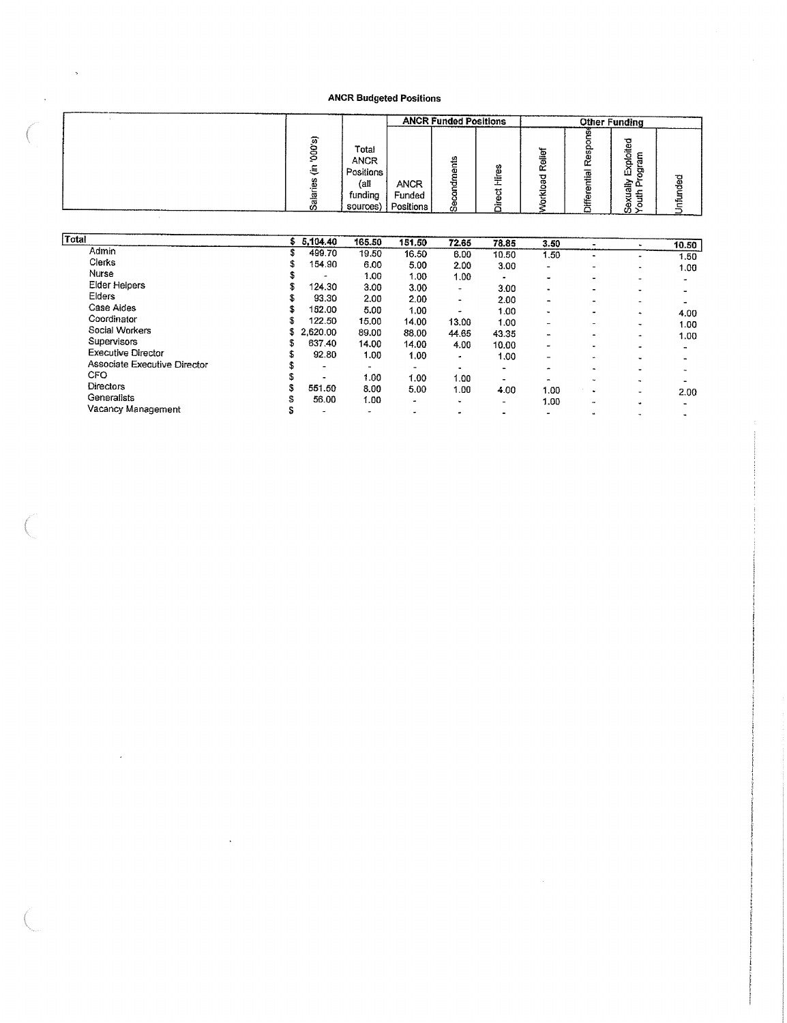|        |                                                                  |                                    | <b>ANCR Funded Positions</b> |                     |                             |                          | <b>Other Funding</b>                   |         |
|--------|------------------------------------------------------------------|------------------------------------|------------------------------|---------------------|-----------------------------|--------------------------|----------------------------------------|---------|
| ∽<br>s | Total<br><b>ANCR</b><br>Positions<br>(all<br>funding<br>sources) | <b>ANCR</b><br>Funded<br>Positions | Ø<br>ω<br>ō<br>යී            | w<br>۵ì<br>≂<br>مسه | ىب<br>o<br>훎<br>œ<br>Ο<br>െ | 00<br>ω<br>Œ<br>त्त<br>m | ъ<br>c<br>e<br>ᅙ<br>ш<br>ৰী<br>ô<br>ŰΣ | ga<br>€ |

| Total                        |    | \$5,104.40               | 165.50 | 151.50 | 72.65                    | 78.85                    | 3.50                     |                          | ۰                        | 10.50                                 |
|------------------------------|----|--------------------------|--------|--------|--------------------------|--------------------------|--------------------------|--------------------------|--------------------------|---------------------------------------|
| Admin                        | 3  | 499.70                   | 19.50  | 16.50  | 6.00                     | 10.50                    | 1.50                     |                          | $\mathbf{a}$             | 1.50                                  |
| Clerks                       |    | 154.90                   | 6.00   | 5.00   | 2.00                     | 3.00                     | $\blacksquare$           | -                        | $\blacksquare$           | 1.00                                  |
| Nurse                        |    | ۰                        | 1.00   | 1.00   | 1.00                     | $\overline{\phantom{a}}$ | $\cdot$                  |                          |                          | $\bullet$                             |
| <b>Elder Helpers</b>         | S  | 124.30                   | 3.00   | 3.00   | $\overline{\phantom{a}}$ | 3.00                     | $\blacksquare$           |                          |                          |                                       |
| Elders                       | s  | 93.30                    | 2.00   | 2.00   | $\overline{\phantom{a}}$ | 2.00                     | $\qquad \qquad$          |                          | $\overline{\phantom{a}}$ |                                       |
| Case Aides                   | s  | 152.00                   | 5.00   | 1.00   | $\bullet$                | 1.00                     | $\overline{\phantom{0}}$ |                          | ۰                        | 4.00                                  |
| Coordinator                  | S  | 122.50                   | 15.00  | 14.00  | 13.00                    | 1.00                     | $\blacksquare$           | -                        | $\sim$                   | 1.00                                  |
| Social Workers               | \$ | 2.620.00                 | 89.00  | 88.00  | 44.65                    | 43.35                    | $\blacksquare$           | $\overline{\phantom{0}}$ | $\bullet$                | 1.00                                  |
| Supervisors                  |    | 637.40                   | 14.00  | 14.00  | 4.00                     | 10.00                    | $\overline{a}$           |                          | $\bullet$                |                                       |
| <b>Executive Director</b>    |    | 92.80                    | 1.00   | 1.00   | ٠                        | 1.00                     | $\overline{\phantom{a}}$ | $\bullet$                | $\sim$                   | $\sim$                                |
| Associate Executive Director |    | $\overline{\phantom{0}}$ | -      | -      | $\blacksquare$           | $\overline{\phantom{0}}$ | $\ddot{\phantom{1}}$     |                          |                          | $\overline{\phantom{a}}$              |
| <b>CFO</b>                   |    | $\blacksquare$           | 1.00   | 1.00   | 1.00                     | $\blacksquare$           | $\blacksquare$           | $\rightarrow$            | $\overline{\phantom{0}}$ |                                       |
| <b>Directors</b>             |    | 551.50                   | 8.00   | 5.00   | 1.00                     | 4.00                     | 1.00                     | ۰                        | ۰                        |                                       |
| Generalists                  |    | 56.00                    | 1.00   | -      | ۰                        | $\overline{\phantom{a}}$ | 1.00                     |                          | $\overline{\phantom{0}}$ | 2.00                                  |
| Vacancy Management           | s  | -                        | ۰      | -      | $\bullet$                | $\bullet$                | $\rightarrow$            | $\bullet$                | $\ddot{}$                | $\overline{\phantom{0}}$<br>$\bullet$ |

 $\bar{z}$ 

 $\ddot{\phantom{0}}$